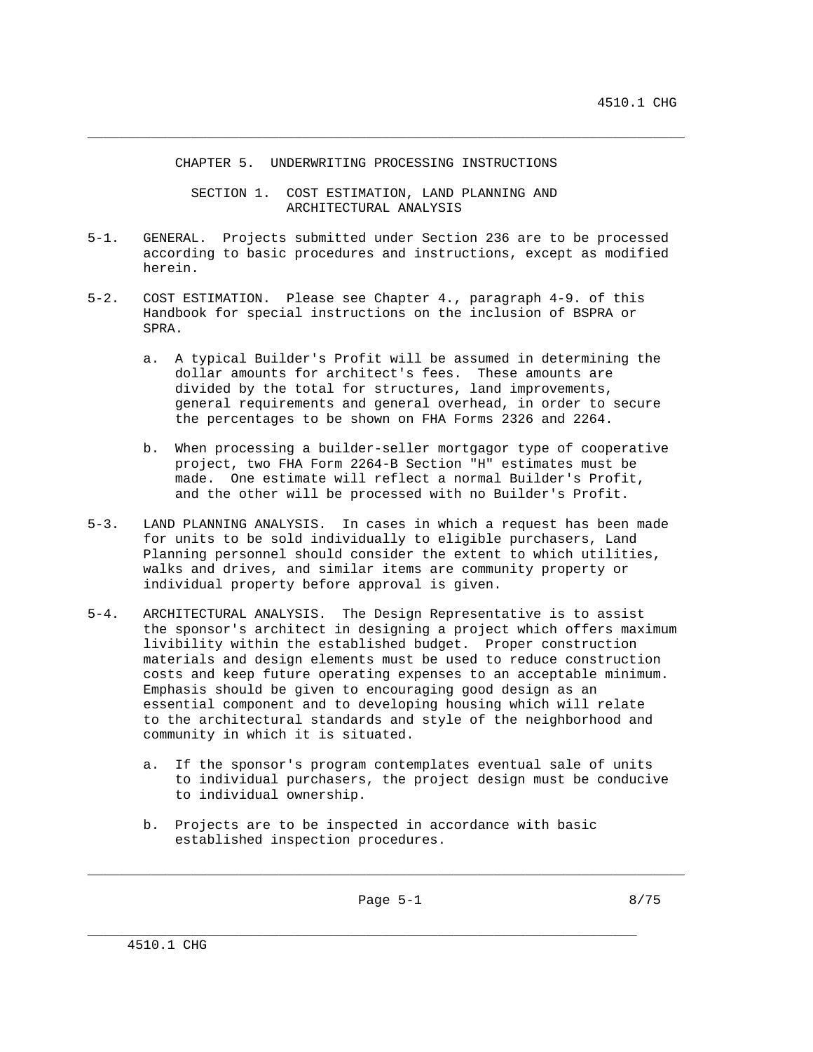CHAPTER 5. UNDERWRITING PROCESSING INSTRUCTIONS

 SECTION 1. COST ESTIMATION, LAND PLANNING AND ARCHITECTURAL ANALYSIS

\_\_\_\_\_\_\_\_\_\_\_\_\_\_\_\_\_\_\_\_\_\_\_\_\_\_\_\_\_\_\_\_\_\_\_\_\_\_\_\_\_\_\_\_\_\_\_\_\_\_\_\_\_\_\_\_\_\_\_\_\_\_\_\_\_\_\_\_\_\_\_\_\_\_\_

- 5-1. GENERAL. Projects submitted under Section 236 are to be processed according to basic procedures and instructions, except as modified herein.
- 5-2. COST ESTIMATION. Please see Chapter 4., paragraph 4-9. of this Handbook for special instructions on the inclusion of BSPRA or SPRA.
	- a. A typical Builder's Profit will be assumed in determining the dollar amounts for architect's fees. These amounts are divided by the total for structures, land improvements, general requirements and general overhead, in order to secure the percentages to be shown on FHA Forms 2326 and 2264.
	- b. When processing a builder-seller mortgagor type of cooperative project, two FHA Form 2264-B Section "H" estimates must be made. One estimate will reflect a normal Builder's Profit, and the other will be processed with no Builder's Profit.
- 5-3. LAND PLANNING ANALYSIS. In cases in which a request has been made for units to be sold individually to eligible purchasers, Land Planning personnel should consider the extent to which utilities, walks and drives, and similar items are community property or individual property before approval is given.
- 5-4. ARCHITECTURAL ANALYSIS. The Design Representative is to assist the sponsor's architect in designing a project which offers maximum livibility within the established budget. Proper construction materials and design elements must be used to reduce construction costs and keep future operating expenses to an acceptable minimum. Emphasis should be given to encouraging good design as an essential component and to developing housing which will relate to the architectural standards and style of the neighborhood and community in which it is situated.
	- a. If the sponsor's program contemplates eventual sale of units to individual purchasers, the project design must be conducive to individual ownership.
	- b. Projects are to be inspected in accordance with basic established inspection procedures.

\_\_\_\_\_\_\_\_\_\_\_\_\_\_\_\_\_\_\_\_\_\_\_\_\_\_\_\_\_\_\_\_\_\_\_\_\_\_\_\_\_\_\_\_\_\_\_\_\_\_\_\_\_\_\_\_\_\_\_\_\_\_\_\_\_\_\_\_\_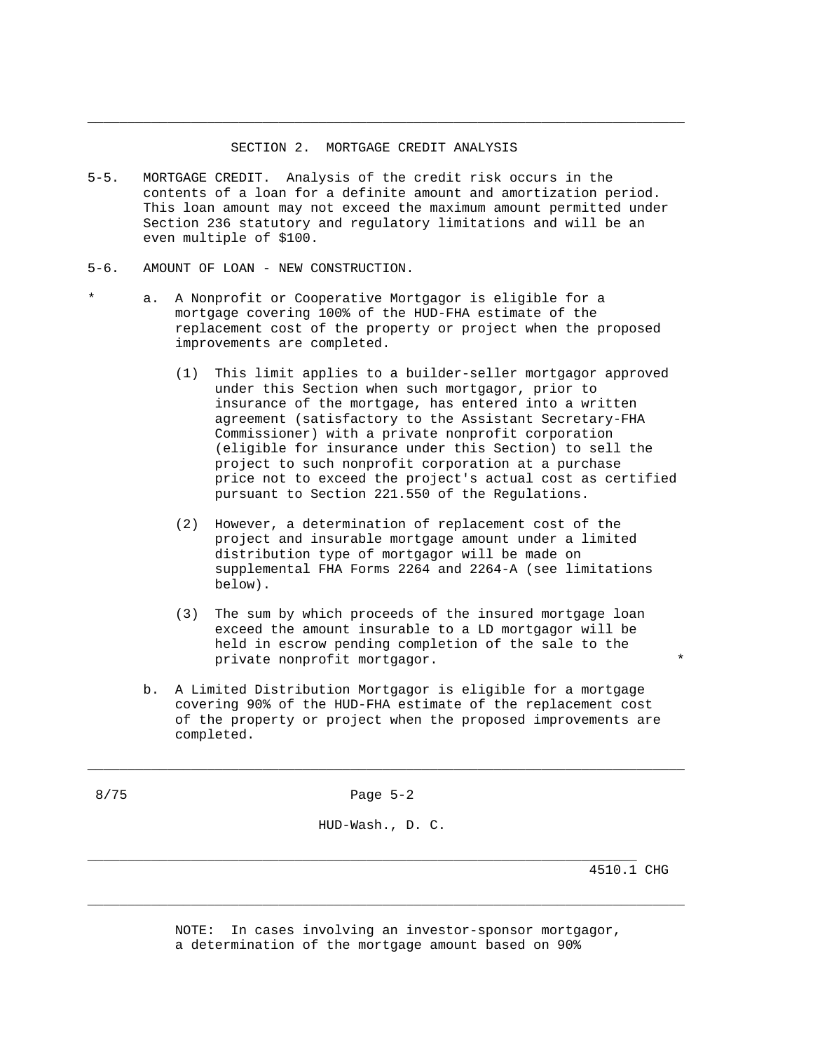# SECTION 2. MORTGAGE CREDIT ANALYSIS

\_\_\_\_\_\_\_\_\_\_\_\_\_\_\_\_\_\_\_\_\_\_\_\_\_\_\_\_\_\_\_\_\_\_\_\_\_\_\_\_\_\_\_\_\_\_\_\_\_\_\_\_\_\_\_\_\_\_\_\_\_\_\_\_\_\_\_\_\_\_\_\_\_\_\_

- 5-5. MORTGAGE CREDIT. Analysis of the credit risk occurs in the contents of a loan for a definite amount and amortization period. This loan amount may not exceed the maximum amount permitted under Section 236 statutory and regulatory limitations and will be an even multiple of \$100.
- 5-6. AMOUNT OF LOAN NEW CONSTRUCTION.
- a. A Nonprofit or Cooperative Mortgagor is eligible for a mortgage covering 100% of the HUD-FHA estimate of the replacement cost of the property or project when the proposed improvements are completed.
	- (1) This limit applies to a builder-seller mortgagor approved under this Section when such mortgagor, prior to insurance of the mortgage, has entered into a written agreement (satisfactory to the Assistant Secretary-FHA Commissioner) with a private nonprofit corporation (eligible for insurance under this Section) to sell the project to such nonprofit corporation at a purchase price not to exceed the project's actual cost as certified pursuant to Section 221.550 of the Regulations.
	- (2) However, a determination of replacement cost of the project and insurable mortgage amount under a limited distribution type of mortgagor will be made on supplemental FHA Forms 2264 and 2264-A (see limitations below).
	- (3) The sum by which proceeds of the insured mortgage loan exceed the amount insurable to a LD mortgagor will be held in escrow pending completion of the sale to the private nonprofit mortgagor. \*
	- b. A Limited Distribution Mortgagor is eligible for a mortgage covering 90% of the HUD-FHA estimate of the replacement cost of the property or project when the proposed improvements are completed.

8/75 Page 5-2

\_\_\_\_\_\_\_\_\_\_\_\_\_\_\_\_\_\_\_\_\_\_\_\_\_\_\_\_\_\_\_\_\_\_\_\_\_\_\_\_\_\_\_\_\_\_\_\_\_\_\_\_\_\_\_\_\_\_\_\_\_\_\_\_\_\_\_\_\_\_\_\_\_\_\_

HUD-Wash., D. C.

\_\_\_\_\_\_\_\_\_\_\_\_\_\_\_\_\_\_\_\_\_\_\_\_\_\_\_\_\_\_\_\_\_\_\_\_\_\_\_\_\_\_\_\_\_\_\_\_\_\_\_\_\_\_\_\_\_\_\_\_\_\_\_\_\_\_\_\_\_

4510.1 CHG

 NOTE: In cases involving an investor-sponsor mortgagor, a determination of the mortgage amount based on 90%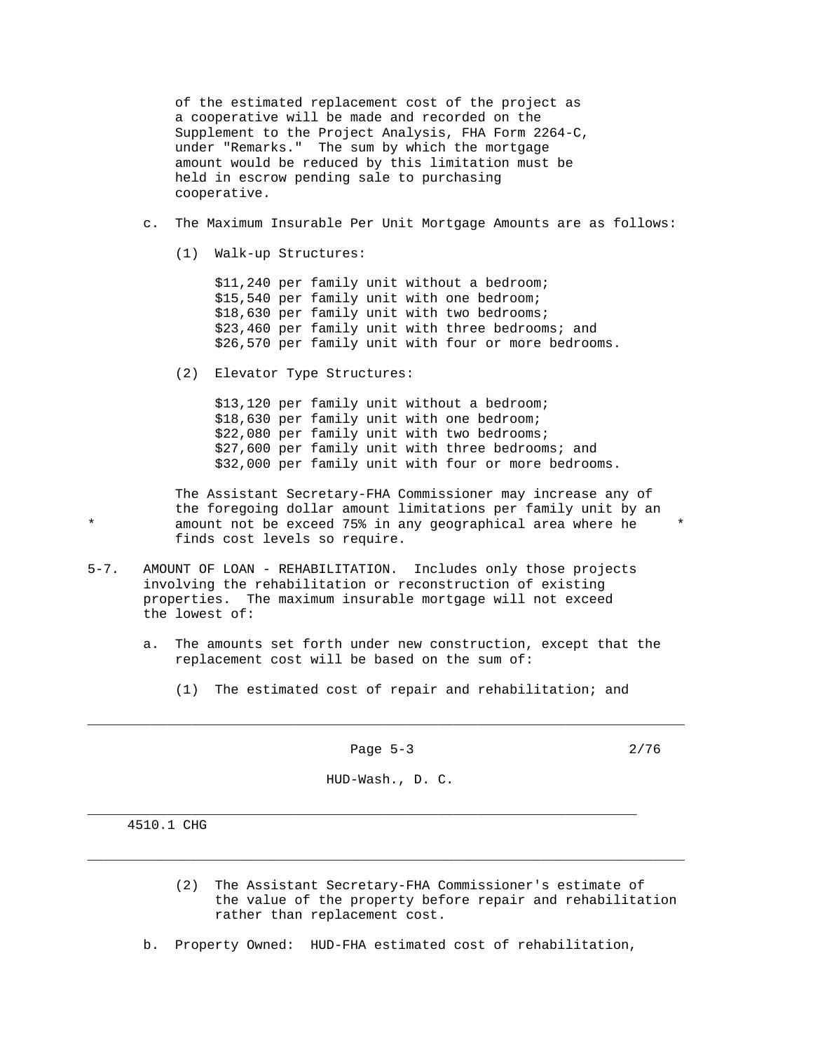of the estimated replacement cost of the project as a cooperative will be made and recorded on the Supplement to the Project Analysis, FHA Form 2264-C, under "Remarks." The sum by which the mortgage amount would be reduced by this limitation must be held in escrow pending sale to purchasing cooperative.

- c. The Maximum Insurable Per Unit Mortgage Amounts are as follows:
	- (1) Walk-up Structures:

 \$11,240 per family unit without a bedroom; \$15,540 per family unit with one bedroom; \$18,630 per family unit with two bedrooms; \$23,460 per family unit with three bedrooms; and \$26,570 per family unit with four or more bedrooms.

(2) Elevator Type Structures:

 \$13,120 per family unit without a bedroom; \$18,630 per family unit with one bedroom; \$22,080 per family unit with two bedrooms; \$27,600 per family unit with three bedrooms; and \$32,000 per family unit with four or more bedrooms.

 The Assistant Secretary-FHA Commissioner may increase any of the foregoing dollar amount limitations per family unit by an amount not be exceed 75% in any geographical area where he finds cost levels so require.

- 5-7. AMOUNT OF LOAN REHABILITATION. Includes only those projects involving the rehabilitation or reconstruction of existing properties. The maximum insurable mortgage will not exceed the lowest of:
	- a. The amounts set forth under new construction, except that the replacement cost will be based on the sum of:
		- (1) The estimated cost of repair and rehabilitation; and

Page 5-3 2/76

\_\_\_\_\_\_\_\_\_\_\_\_\_\_\_\_\_\_\_\_\_\_\_\_\_\_\_\_\_\_\_\_\_\_\_\_\_\_\_\_\_\_\_\_\_\_\_\_\_\_\_\_\_\_\_\_\_\_\_\_\_\_\_\_\_\_\_\_\_\_\_\_\_\_\_

HUD-Wash., D. C.

\_\_\_\_\_\_\_\_\_\_\_\_\_\_\_\_\_\_\_\_\_\_\_\_\_\_\_\_\_\_\_\_\_\_\_\_\_\_\_\_\_\_\_\_\_\_\_\_\_\_\_\_\_\_\_\_\_\_\_\_\_\_\_\_\_\_\_\_\_\_\_\_\_\_\_

\_\_\_\_\_\_\_\_\_\_\_\_\_\_\_\_\_\_\_\_\_\_\_\_\_\_\_\_\_\_\_\_\_\_\_\_\_\_\_\_\_\_\_\_\_\_\_\_\_\_\_\_\_\_\_\_\_\_\_\_\_\_\_\_\_\_\_\_\_

4510.1 CHG

- (2) The Assistant Secretary-FHA Commissioner's estimate of the value of the property before repair and rehabilitation rather than replacement cost.
- b. Property Owned: HUD-FHA estimated cost of rehabilitation,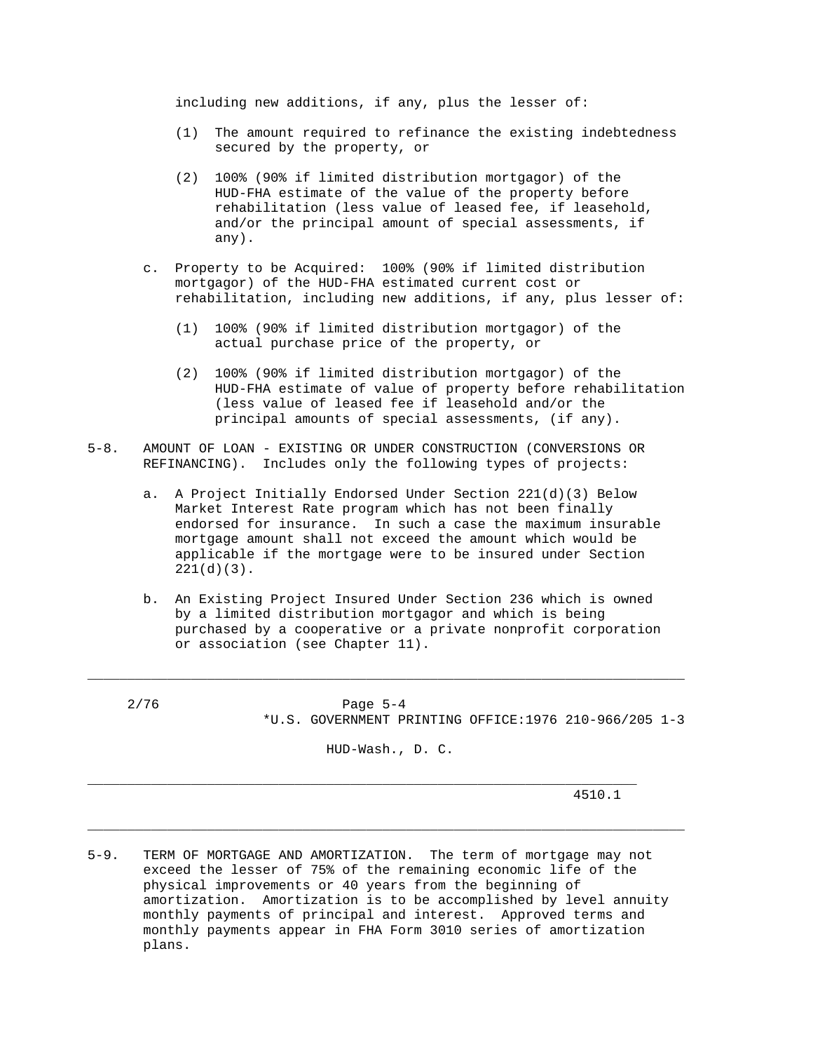including new additions, if any, plus the lesser of:

- (1) The amount required to refinance the existing indebtedness secured by the property, or
- (2) 100% (90% if limited distribution mortgagor) of the HUD-FHA estimate of the value of the property before rehabilitation (less value of leased fee, if leasehold, and/or the principal amount of special assessments, if any).
- c. Property to be Acquired: 100% (90% if limited distribution mortgagor) of the HUD-FHA estimated current cost or rehabilitation, including new additions, if any, plus lesser of:
	- (1) 100% (90% if limited distribution mortgagor) of the actual purchase price of the property, or
	- (2) 100% (90% if limited distribution mortgagor) of the HUD-FHA estimate of value of property before rehabilitation (less value of leased fee if leasehold and/or the principal amounts of special assessments, (if any).
- 5-8. AMOUNT OF LOAN EXISTING OR UNDER CONSTRUCTION (CONVERSIONS OR REFINANCING). Includes only the following types of projects:
	- a. A Project Initially Endorsed Under Section 221(d)(3) Below Market Interest Rate program which has not been finally endorsed for insurance. In such a case the maximum insurable mortgage amount shall not exceed the amount which would be applicable if the mortgage were to be insured under Section 221(d)(3).
	- b. An Existing Project Insured Under Section 236 which is owned by a limited distribution mortgagor and which is being purchased by a cooperative or a private nonprofit corporation or association (see Chapter 11).

| 2/76 | Page $5-4$ |  |  |  |                                                       |  |
|------|------------|--|--|--|-------------------------------------------------------|--|
|      |            |  |  |  | *U.S. GOVERNMENT PRINTING OFFICE:1976 210-966/205 1-3 |  |

HUD-Wash., D. C.

\_\_\_\_\_\_\_\_\_\_\_\_\_\_\_\_\_\_\_\_\_\_\_\_\_\_\_\_\_\_\_\_\_\_\_\_\_\_\_\_\_\_\_\_\_\_\_\_\_\_\_\_\_\_\_\_\_\_\_\_\_\_\_\_\_\_\_\_\_\_\_\_\_\_\_

\_\_\_\_\_\_\_\_\_\_\_\_\_\_\_\_\_\_\_\_\_\_\_\_\_\_\_\_\_\_\_\_\_\_\_\_\_\_\_\_\_\_\_\_\_\_\_\_\_\_\_\_\_\_\_\_\_\_\_\_\_\_\_\_\_\_\_\_\_

\_\_\_\_\_\_\_\_\_\_\_\_\_\_\_\_\_\_\_\_\_\_\_\_\_\_\_\_\_\_\_\_\_\_\_\_\_\_\_\_\_\_\_\_\_\_\_\_\_\_\_\_\_\_\_\_\_\_\_\_\_\_\_\_\_\_\_\_\_\_\_\_\_\_\_

4510.1

5-9. TERM OF MORTGAGE AND AMORTIZATION. The term of mortgage may not exceed the lesser of 75% of the remaining economic life of the physical improvements or 40 years from the beginning of amortization. Amortization is to be accomplished by level annuity monthly payments of principal and interest. Approved terms and monthly payments appear in FHA Form 3010 series of amortization plans.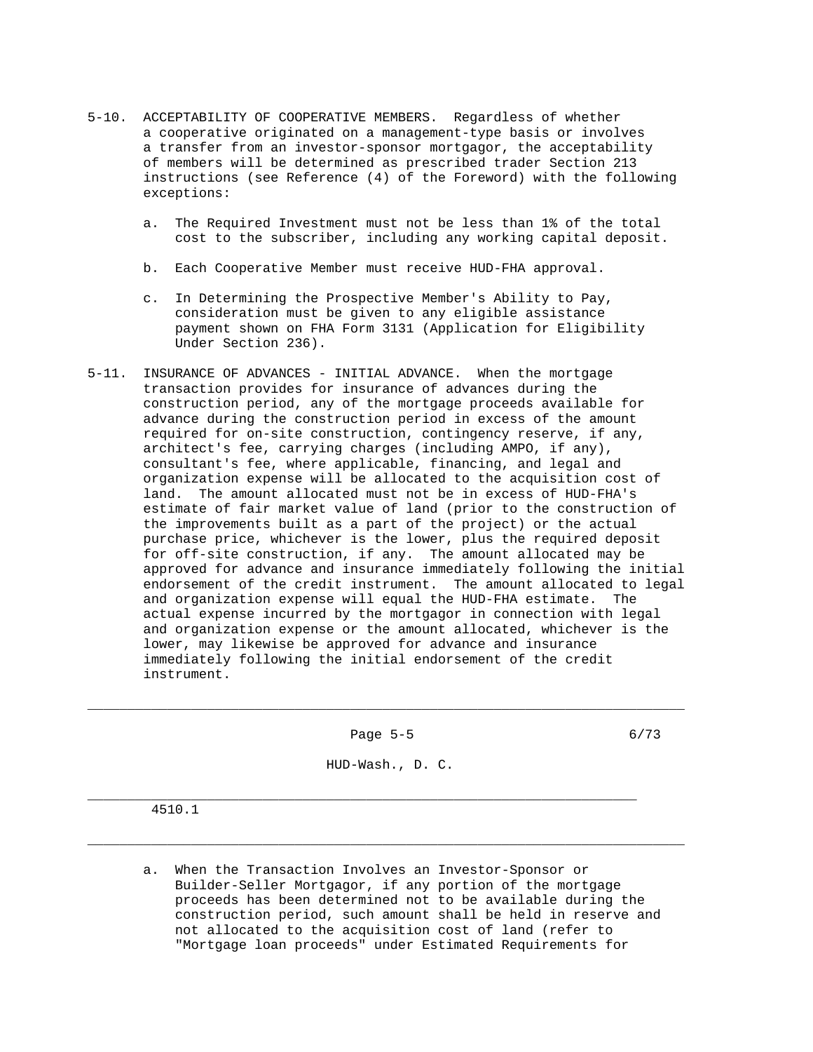- 5-10. ACCEPTABILITY OF COOPERATIVE MEMBERS. Regardless of whether a cooperative originated on a management-type basis or involves a transfer from an investor-sponsor mortgagor, the acceptability of members will be determined as prescribed trader Section 213 instructions (see Reference (4) of the Foreword) with the following exceptions:
	- a. The Required Investment must not be less than 1% of the total cost to the subscriber, including any working capital deposit.
	- b. Each Cooperative Member must receive HUD-FHA approval.
	- c. In Determining the Prospective Member's Ability to Pay, consideration must be given to any eligible assistance payment shown on FHA Form 3131 (Application for Eligibility Under Section 236).
- 5-11. INSURANCE OF ADVANCES INITIAL ADVANCE. When the mortgage transaction provides for insurance of advances during the construction period, any of the mortgage proceeds available for advance during the construction period in excess of the amount required for on-site construction, contingency reserve, if any, architect's fee, carrying charges (including AMPO, if any), consultant's fee, where applicable, financing, and legal and organization expense will be allocated to the acquisition cost of land. The amount allocated must not be in excess of HUD-FHA's estimate of fair market value of land (prior to the construction of the improvements built as a part of the project) or the actual purchase price, whichever is the lower, plus the required deposit for off-site construction, if any. The amount allocated may be approved for advance and insurance immediately following the initial endorsement of the credit instrument. The amount allocated to legal and organization expense will equal the HUD-FHA estimate. The actual expense incurred by the mortgagor in connection with legal and organization expense or the amount allocated, whichever is the lower, may likewise be approved for advance and insurance immediately following the initial endorsement of the credit instrument.

Page 5-5 6/73

\_\_\_\_\_\_\_\_\_\_\_\_\_\_\_\_\_\_\_\_\_\_\_\_\_\_\_\_\_\_\_\_\_\_\_\_\_\_\_\_\_\_\_\_\_\_\_\_\_\_\_\_\_\_\_\_\_\_\_\_\_\_\_\_\_\_\_\_\_\_\_\_\_\_\_

HUD-Wash., D. C.

\_\_\_\_\_\_\_\_\_\_\_\_\_\_\_\_\_\_\_\_\_\_\_\_\_\_\_\_\_\_\_\_\_\_\_\_\_\_\_\_\_\_\_\_\_\_\_\_\_\_\_\_\_\_\_\_\_\_\_\_\_\_\_\_\_\_\_\_\_\_\_\_\_\_\_

\_\_\_\_\_\_\_\_\_\_\_\_\_\_\_\_\_\_\_\_\_\_\_\_\_\_\_\_\_\_\_\_\_\_\_\_\_\_\_\_\_\_\_\_\_\_\_\_\_\_\_\_\_\_\_\_\_\_\_\_\_\_\_\_\_\_\_\_\_

4510.1

 a. When the Transaction Involves an Investor-Sponsor or Builder-Seller Mortgagor, if any portion of the mortgage proceeds has been determined not to be available during the construction period, such amount shall be held in reserve and not allocated to the acquisition cost of land (refer to "Mortgage loan proceeds" under Estimated Requirements for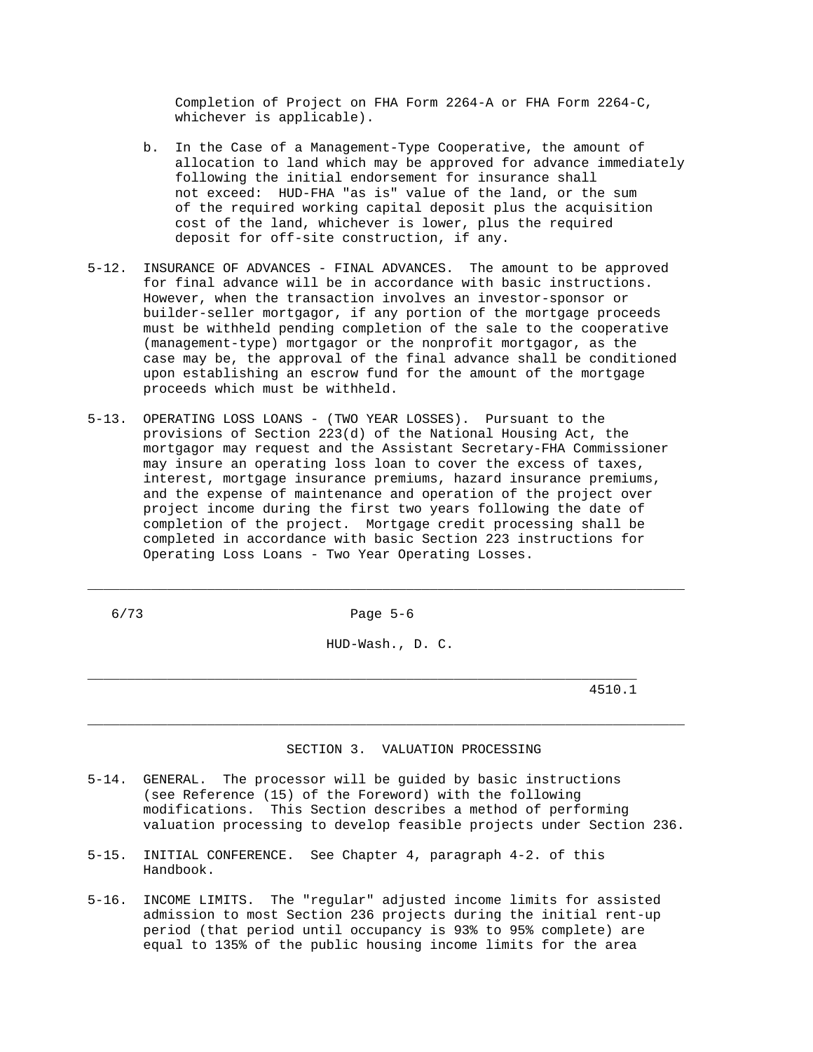Completion of Project on FHA Form 2264-A or FHA Form 2264-C, whichever is applicable).

- b. In the Case of a Management-Type Cooperative, the amount of allocation to land which may be approved for advance immediately following the initial endorsement for insurance shall not exceed: HUD-FHA "as is" value of the land, or the sum of the required working capital deposit plus the acquisition cost of the land, whichever is lower, plus the required deposit for off-site construction, if any.
- 5-12. INSURANCE OF ADVANCES FINAL ADVANCES. The amount to be approved for final advance will be in accordance with basic instructions. However, when the transaction involves an investor-sponsor or builder-seller mortgagor, if any portion of the mortgage proceeds must be withheld pending completion of the sale to the cooperative (management-type) mortgagor or the nonprofit mortgagor, as the case may be, the approval of the final advance shall be conditioned upon establishing an escrow fund for the amount of the mortgage proceeds which must be withheld.
- 5-13. OPERATING LOSS LOANS (TWO YEAR LOSSES). Pursuant to the provisions of Section 223(d) of the National Housing Act, the mortgagor may request and the Assistant Secretary-FHA Commissioner may insure an operating loss loan to cover the excess of taxes, interest, mortgage insurance premiums, hazard insurance premiums, and the expense of maintenance and operation of the project over project income during the first two years following the date of completion of the project. Mortgage credit processing shall be completed in accordance with basic Section 223 instructions for Operating Loss Loans - Two Year Operating Losses.

6/73 Page 5-6

\_\_\_\_\_\_\_\_\_\_\_\_\_\_\_\_\_\_\_\_\_\_\_\_\_\_\_\_\_\_\_\_\_\_\_\_\_\_\_\_\_\_\_\_\_\_\_\_\_\_\_\_\_\_\_\_\_\_\_\_\_\_\_\_\_\_\_\_\_\_\_\_\_\_\_

HUD-Wash., D. C.

\_\_\_\_\_\_\_\_\_\_\_\_\_\_\_\_\_\_\_\_\_\_\_\_\_\_\_\_\_\_\_\_\_\_\_\_\_\_\_\_\_\_\_\_\_\_\_\_\_\_\_\_\_\_\_\_\_\_\_\_\_\_\_\_\_\_\_\_\_\_\_\_\_\_\_

\_\_\_\_\_\_\_\_\_\_\_\_\_\_\_\_\_\_\_\_\_\_\_\_\_\_\_\_\_\_\_\_\_\_\_\_\_\_\_\_\_\_\_\_\_\_\_\_\_\_\_\_\_\_\_\_\_\_\_\_\_\_\_\_\_\_\_\_\_ 4510.1

### SECTION 3. VALUATION PROCESSING

- 5-14. GENERAL. The processor will be guided by basic instructions (see Reference (15) of the Foreword) with the following modifications. This Section describes a method of performing valuation processing to develop feasible projects under Section 236.
- 5-15. INITIAL CONFERENCE. See Chapter 4, paragraph 4-2. of this Handbook.
- 5-16. INCOME LIMITS. The "regular" adjusted income limits for assisted admission to most Section 236 projects during the initial rent-up period (that period until occupancy is 93% to 95% complete) are equal to 135% of the public housing income limits for the area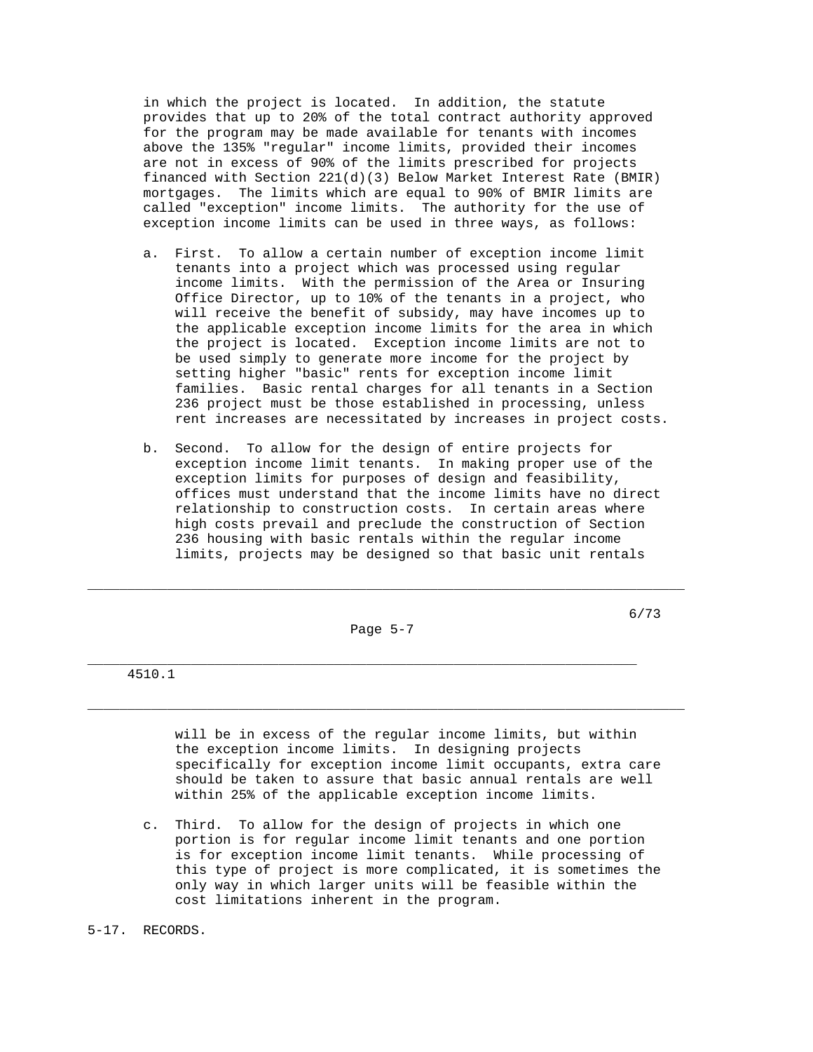in which the project is located. In addition, the statute provides that up to 20% of the total contract authority approved for the program may be made available for tenants with incomes above the 135% "regular" income limits, provided their incomes are not in excess of 90% of the limits prescribed for projects financed with Section 221(d)(3) Below Market Interest Rate (BMIR) mortgages. The limits which are equal to 90% of BMIR limits are called "exception" income limits. The authority for the use of exception income limits can be used in three ways, as follows:

- a. First. To allow a certain number of exception income limit tenants into a project which was processed using regular income limits. With the permission of the Area or Insuring Office Director, up to 10% of the tenants in a project, who will receive the benefit of subsidy, may have incomes up to the applicable exception income limits for the area in which the project is located. Exception income limits are not to be used simply to generate more income for the project by setting higher "basic" rents for exception income limit families. Basic rental charges for all tenants in a Section 236 project must be those established in processing, unless rent increases are necessitated by increases in project costs.
- b. Second. To allow for the design of entire projects for exception income limit tenants. In making proper use of the exception limits for purposes of design and feasibility, offices must understand that the income limits have no direct relationship to construction costs. In certain areas where high costs prevail and preclude the construction of Section 236 housing with basic rentals within the regular income limits, projects may be designed so that basic unit rentals

Page 5-7

\_\_\_\_\_\_\_\_\_\_\_\_\_\_\_\_\_\_\_\_\_\_\_\_\_\_\_\_\_\_\_\_\_\_\_\_\_\_\_\_\_\_\_\_\_\_\_\_\_\_\_\_\_\_\_\_\_\_\_\_\_\_\_\_\_\_\_\_\_\_\_\_\_\_\_

\_\_\_\_\_\_\_\_\_\_\_\_\_\_\_\_\_\_\_\_\_\_\_\_\_\_\_\_\_\_\_\_\_\_\_\_\_\_\_\_\_\_\_\_\_\_\_\_\_\_\_\_\_\_\_\_\_\_\_\_\_\_\_\_\_\_\_\_\_\_\_\_\_\_\_

\_\_\_\_\_\_\_\_\_\_\_\_\_\_\_\_\_\_\_\_\_\_\_\_\_\_\_\_\_\_\_\_\_\_\_\_\_\_\_\_\_\_\_\_\_\_\_\_\_\_\_\_\_\_\_\_\_\_\_\_\_\_\_\_\_\_\_\_\_ 4510.1

> will be in excess of the regular income limits, but within the exception income limits. In designing projects specifically for exception income limit occupants, extra care should be taken to assure that basic annual rentals are well within 25% of the applicable exception income limits.

- c. Third. To allow for the design of projects in which one portion is for regular income limit tenants and one portion is for exception income limit tenants. While processing of this type of project is more complicated, it is sometimes the only way in which larger units will be feasible within the cost limitations inherent in the program.
- 5-17. RECORDS.

6/73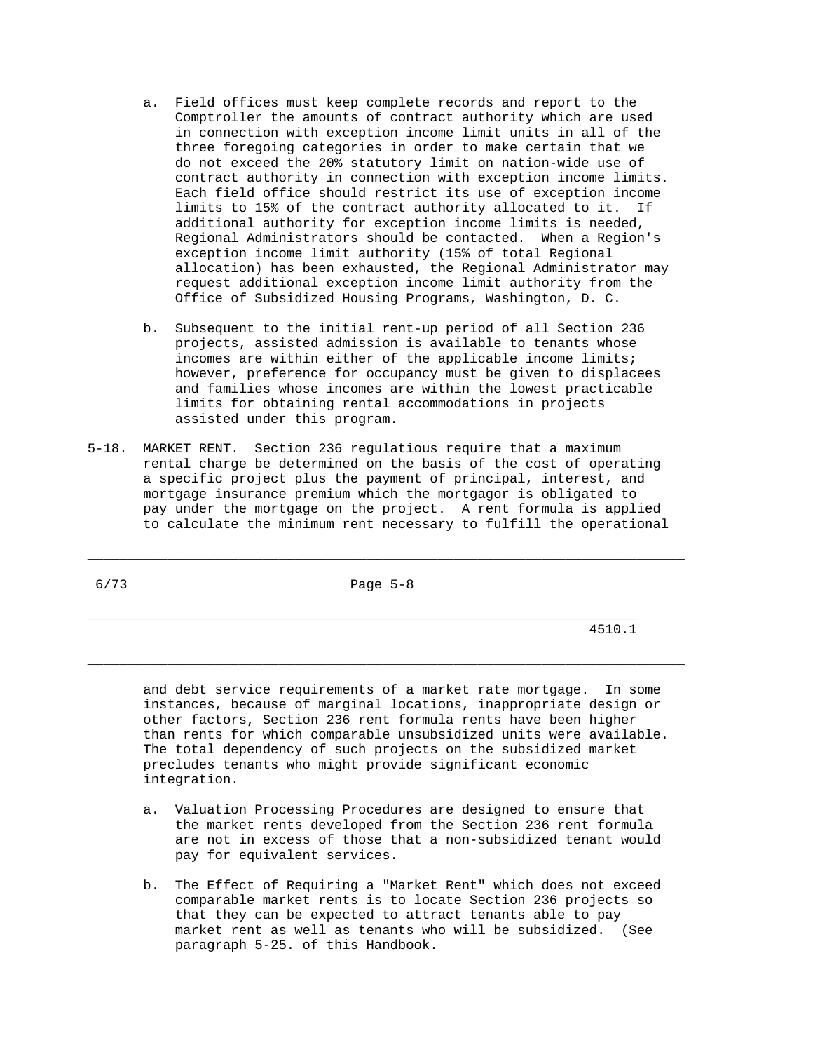- a. Field offices must keep complete records and report to the Comptroller the amounts of contract authority which are used in connection with exception income limit units in all of the three foregoing categories in order to make certain that we do not exceed the 20% statutory limit on nation-wide use of contract authority in connection with exception income limits. Each field office should restrict its use of exception income limits to 15% of the contract authority allocated to it. If additional authority for exception income limits is needed, Regional Administrators should be contacted. When a Region's exception income limit authority (15% of total Regional allocation) has been exhausted, the Regional Administrator may request additional exception income limit authority from the Office of Subsidized Housing Programs, Washington, D. C.
- b. Subsequent to the initial rent-up period of all Section 236 projects, assisted admission is available to tenants whose incomes are within either of the applicable income limits; however, preference for occupancy must be given to displacees and families whose incomes are within the lowest practicable limits for obtaining rental accommodations in projects assisted under this program.
- 5-18. MARKET RENT. Section 236 regulatious require that a maximum rental charge be determined on the basis of the cost of operating a specific project plus the payment of principal, interest, and mortgage insurance premium which the mortgagor is obligated to pay under the mortgage on the project. A rent formula is applied to calculate the minimum rent necessary to fulfill the operational

6/73 Page 5-8

\_\_\_\_\_\_\_\_\_\_\_\_\_\_\_\_\_\_\_\_\_\_\_\_\_\_\_\_\_\_\_\_\_\_\_\_\_\_\_\_\_\_\_\_\_\_\_\_\_\_\_\_\_\_\_\_\_\_\_\_\_\_\_\_\_\_\_\_\_

\_\_\_\_\_\_\_\_\_\_\_\_\_\_\_\_\_\_\_\_\_\_\_\_\_\_\_\_\_\_\_\_\_\_\_\_\_\_\_\_\_\_\_\_\_\_\_\_\_\_\_\_\_\_\_\_\_\_\_\_\_\_\_\_\_\_\_\_\_\_\_\_\_\_\_

\_\_\_\_\_\_\_\_\_\_\_\_\_\_\_\_\_\_\_\_\_\_\_\_\_\_\_\_\_\_\_\_\_\_\_\_\_\_\_\_\_\_\_\_\_\_\_\_\_\_\_\_\_\_\_\_\_\_\_\_\_\_\_\_\_\_\_\_\_\_\_\_\_\_\_

4510.1

 and debt service requirements of a market rate mortgage. In some instances, because of marginal locations, inappropriate design or other factors, Section 236 rent formula rents have been higher than rents for which comparable unsubsidized units were available. The total dependency of such projects on the subsidized market precludes tenants who might provide significant economic integration.

- a. Valuation Processing Procedures are designed to ensure that the market rents developed from the Section 236 rent formula are not in excess of those that a non-subsidized tenant would pay for equivalent services.
- b. The Effect of Requiring a "Market Rent" which does not exceed comparable market rents is to locate Section 236 projects so that they can be expected to attract tenants able to pay market rent as well as tenants who will be subsidized. (See paragraph 5-25. of this Handbook.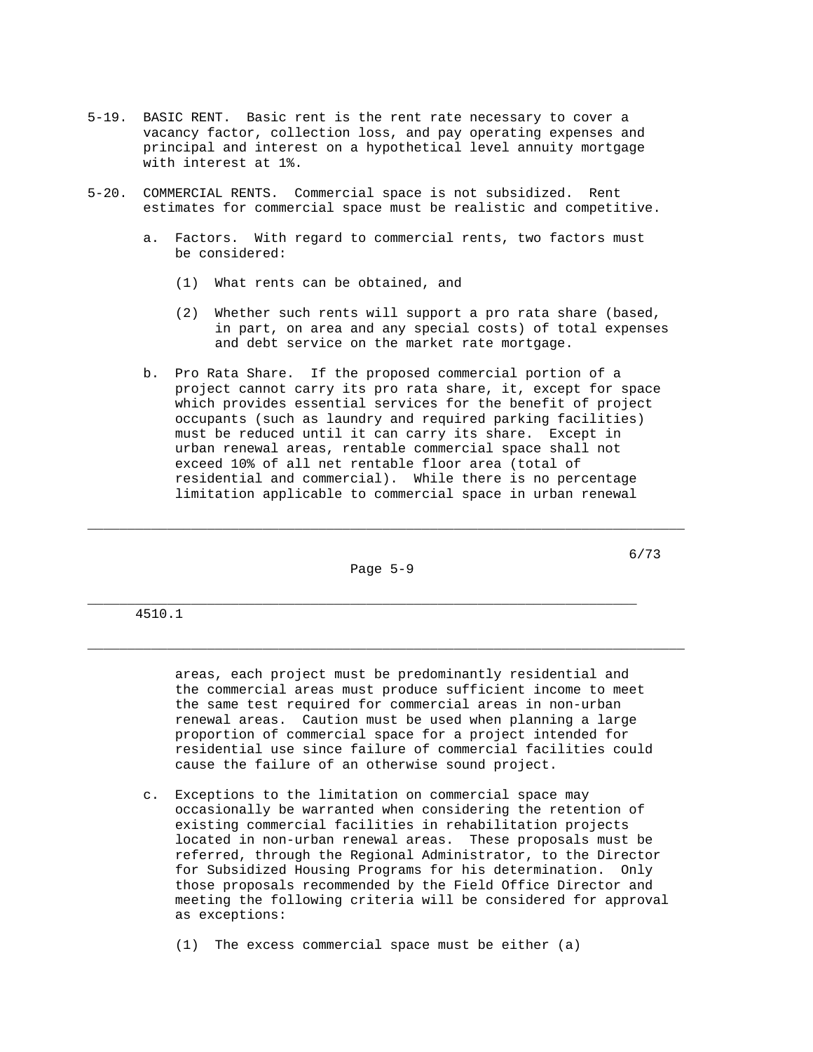- 5-19. BASIC RENT. Basic rent is the rent rate necessary to cover a vacancy factor, collection loss, and pay operating expenses and principal and interest on a hypothetical level annuity mortgage with interest at 1%.
- 5-20. COMMERCIAL RENTS. Commercial space is not subsidized. Rent estimates for commercial space must be realistic and competitive.
	- a. Factors. With regard to commercial rents, two factors must be considered:
		- (1) What rents can be obtained, and
		- (2) Whether such rents will support a pro rata share (based, in part, on area and any special costs) of total expenses and debt service on the market rate mortgage.
	- b. Pro Rata Share. If the proposed commercial portion of a project cannot carry its pro rata share, it, except for space which provides essential services for the benefit of project occupants (such as laundry and required parking facilities) must be reduced until it can carry its share. Except in urban renewal areas, rentable commercial space shall not exceed 10% of all net rentable floor area (total of residential and commercial). While there is no percentage limitation applicable to commercial space in urban renewal

Page 5-9

\_\_\_\_\_\_\_\_\_\_\_\_\_\_\_\_\_\_\_\_\_\_\_\_\_\_\_\_\_\_\_\_\_\_\_\_\_\_\_\_\_\_\_\_\_\_\_\_\_\_\_\_\_\_\_\_\_\_\_\_\_\_\_\_\_\_\_\_\_\_\_\_\_\_\_

\_\_\_\_\_\_\_\_\_\_\_\_\_\_\_\_\_\_\_\_\_\_\_\_\_\_\_\_\_\_\_\_\_\_\_\_\_\_\_\_\_\_\_\_\_\_\_\_\_\_\_\_\_\_\_\_\_\_\_\_\_\_\_\_\_\_\_\_\_

\_\_\_\_\_\_\_\_\_\_\_\_\_\_\_\_\_\_\_\_\_\_\_\_\_\_\_\_\_\_\_\_\_\_\_\_\_\_\_\_\_\_\_\_\_\_\_\_\_\_\_\_\_\_\_\_\_\_\_\_\_\_\_\_\_\_\_\_\_\_\_\_\_\_\_

6/73

## 4510.1

 areas, each project must be predominantly residential and the commercial areas must produce sufficient income to meet the same test required for commercial areas in non-urban renewal areas. Caution must be used when planning a large proportion of commercial space for a project intended for residential use since failure of commercial facilities could cause the failure of an otherwise sound project.

 c. Exceptions to the limitation on commercial space may occasionally be warranted when considering the retention of existing commercial facilities in rehabilitation projects located in non-urban renewal areas. These proposals must be referred, through the Regional Administrator, to the Director for Subsidized Housing Programs for his determination. Only those proposals recommended by the Field Office Director and meeting the following criteria will be considered for approval as exceptions:

(1) The excess commercial space must be either (a)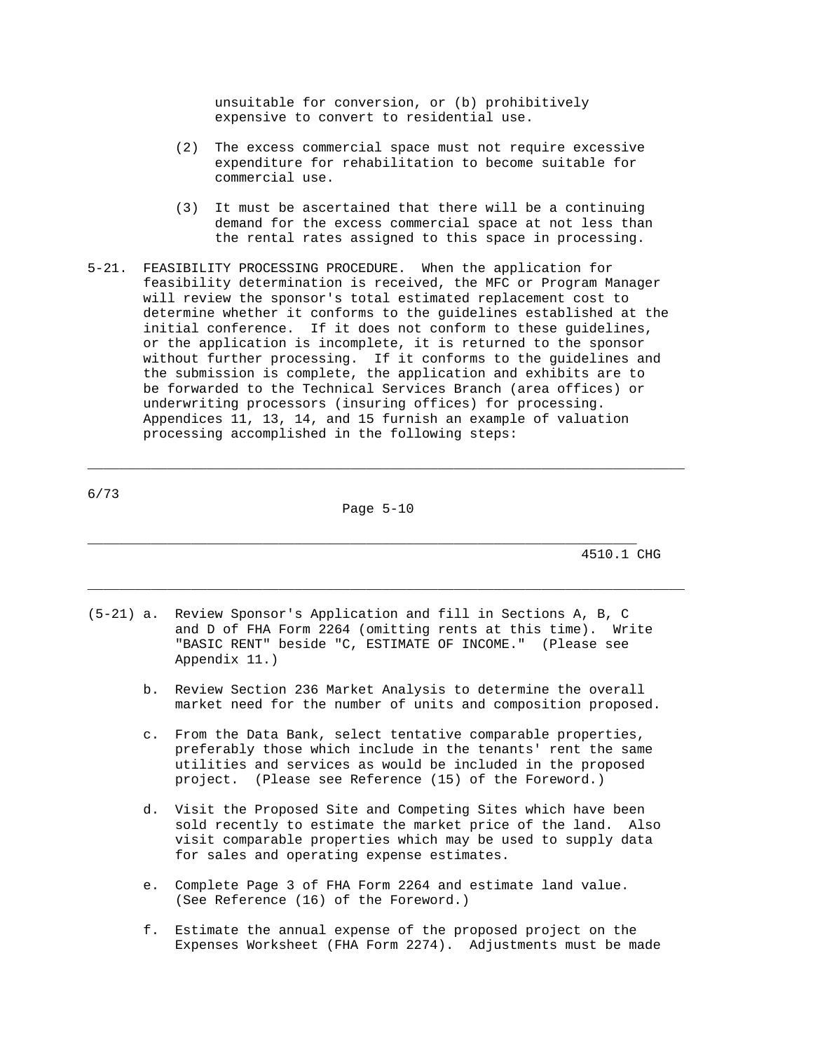unsuitable for conversion, or (b) prohibitively expensive to convert to residential use.

- (2) The excess commercial space must not require excessive expenditure for rehabilitation to become suitable for commercial use.
- (3) It must be ascertained that there will be a continuing demand for the excess commercial space at not less than the rental rates assigned to this space in processing.
- 5-21. FEASIBILITY PROCESSING PROCEDURE. When the application for feasibility determination is received, the MFC or Program Manager will review the sponsor's total estimated replacement cost to determine whether it conforms to the guidelines established at the initial conference. If it does not conform to these guidelines, or the application is incomplete, it is returned to the sponsor without further processing. If it conforms to the guidelines and the submission is complete, the application and exhibits are to be forwarded to the Technical Services Branch (area offices) or underwriting processors (insuring offices) for processing. Appendices 11, 13, 14, and 15 furnish an example of valuation processing accomplished in the following steps:

\_\_\_\_\_\_\_\_\_\_\_\_\_\_\_\_\_\_\_\_\_\_\_\_\_\_\_\_\_\_\_\_\_\_\_\_\_\_\_\_\_\_\_\_\_\_\_\_\_\_\_\_\_\_\_\_\_\_\_\_\_\_\_\_\_\_\_\_\_\_\_\_\_\_\_

\_\_\_\_\_\_\_\_\_\_\_\_\_\_\_\_\_\_\_\_\_\_\_\_\_\_\_\_\_\_\_\_\_\_\_\_\_\_\_\_\_\_\_\_\_\_\_\_\_\_\_\_\_\_\_\_\_\_\_\_\_\_\_\_\_\_\_\_\_\_\_\_\_\_\_

| 6/73 |           |
|------|-----------|
|      | Page 5-10 |

\_\_\_\_\_\_\_\_\_\_\_\_\_\_\_\_\_\_\_\_\_\_\_\_\_\_\_\_\_\_\_\_\_\_\_\_\_\_\_\_\_\_\_\_\_\_\_\_\_\_\_\_\_\_\_\_\_\_\_\_\_\_\_\_\_\_\_\_\_ 4510.1 CHG

- (5-21) a. Review Sponsor's Application and fill in Sections A, B, C and D of FHA Form 2264 (omitting rents at this time). Write "BASIC RENT" beside "C, ESTIMATE OF INCOME." (Please see Appendix 11.)
	- b. Review Section 236 Market Analysis to determine the overall market need for the number of units and composition proposed.
	- c. From the Data Bank, select tentative comparable properties, preferably those which include in the tenants' rent the same utilities and services as would be included in the proposed project. (Please see Reference (15) of the Foreword.)
	- d. Visit the Proposed Site and Competing Sites which have been sold recently to estimate the market price of the land. Also visit comparable properties which may be used to supply data for sales and operating expense estimates.
	- e. Complete Page 3 of FHA Form 2264 and estimate land value. (See Reference (16) of the Foreword.)
	- f. Estimate the annual expense of the proposed project on the Expenses Worksheet (FHA Form 2274). Adjustments must be made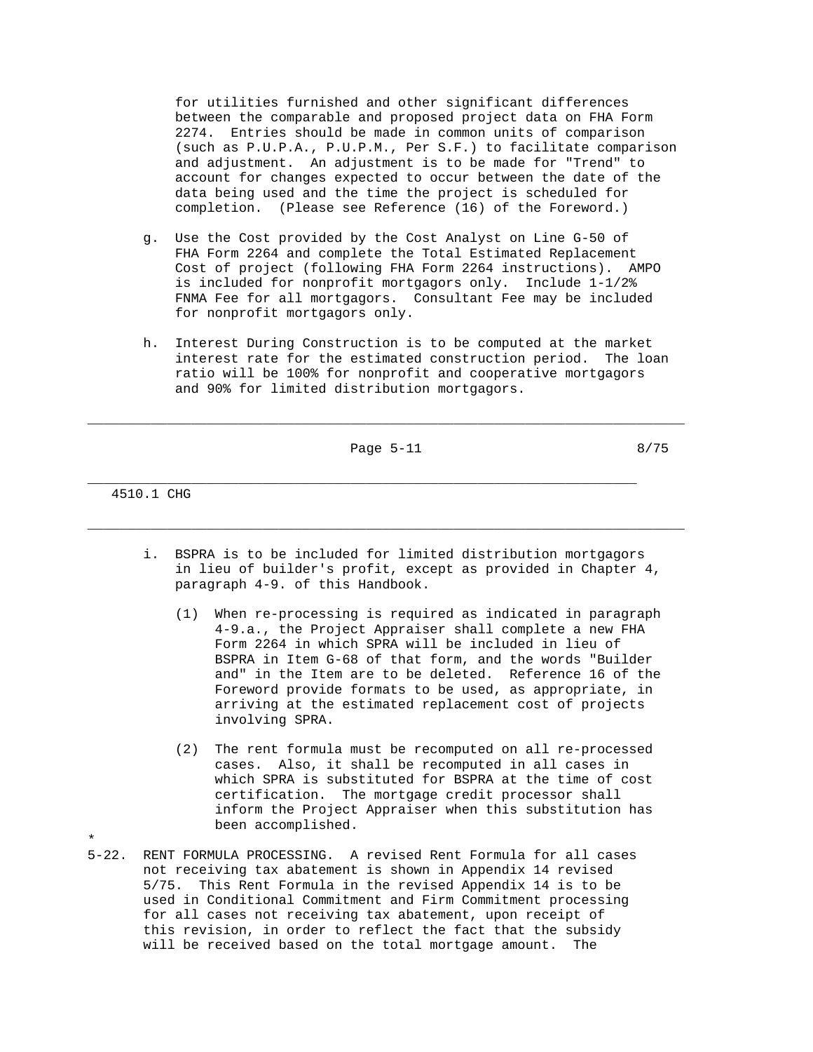for utilities furnished and other significant differences between the comparable and proposed project data on FHA Form 2274. Entries should be made in common units of comparison (such as P.U.P.A., P.U.P.M., Per S.F.) to facilitate comparison and adjustment. An adjustment is to be made for "Trend" to account for changes expected to occur between the date of the data being used and the time the project is scheduled for completion. (Please see Reference (16) of the Foreword.)

- g. Use the Cost provided by the Cost Analyst on Line G-50 of FHA Form 2264 and complete the Total Estimated Replacement Cost of project (following FHA Form 2264 instructions). AMPO is included for nonprofit mortgagors only. Include 1-1/2% FNMA Fee for all mortgagors. Consultant Fee may be included for nonprofit mortgagors only.
- h. Interest During Construction is to be computed at the market interest rate for the estimated construction period. The loan ratio will be 100% for nonprofit and cooperative mortgagors and 90% for limited distribution mortgagors.

Page 5-11 8/75

\_\_\_\_\_\_\_\_\_\_\_\_\_\_\_\_\_\_\_\_\_\_\_\_\_\_\_\_\_\_\_\_\_\_\_\_\_\_\_\_\_\_\_\_\_\_\_\_\_\_\_\_\_\_\_\_\_\_\_\_\_\_\_\_\_\_\_\_\_\_\_\_\_\_\_

\_\_\_\_\_\_\_\_\_\_\_\_\_\_\_\_\_\_\_\_\_\_\_\_\_\_\_\_\_\_\_\_\_\_\_\_\_\_\_\_\_\_\_\_\_\_\_\_\_\_\_\_\_\_\_\_\_\_\_\_\_\_\_\_\_\_\_\_\_

\_\_\_\_\_\_\_\_\_\_\_\_\_\_\_\_\_\_\_\_\_\_\_\_\_\_\_\_\_\_\_\_\_\_\_\_\_\_\_\_\_\_\_\_\_\_\_\_\_\_\_\_\_\_\_\_\_\_\_\_\_\_\_\_\_\_\_\_\_\_\_\_\_\_\_

4510.1 CHG

- i. BSPRA is to be included for limited distribution mortgagors in lieu of builder's profit, except as provided in Chapter 4, paragraph 4-9. of this Handbook.
	- (1) When re-processing is required as indicated in paragraph 4-9.a., the Project Appraiser shall complete a new FHA Form 2264 in which SPRA will be included in lieu of BSPRA in Item G-68 of that form, and the words "Builder and" in the Item are to be deleted. Reference 16 of the Foreword provide formats to be used, as appropriate, in arriving at the estimated replacement cost of projects involving SPRA.
	- (2) The rent formula must be recomputed on all re-processed cases. Also, it shall be recomputed in all cases in which SPRA is substituted for BSPRA at the time of cost certification. The mortgage credit processor shall inform the Project Appraiser when this substitution has been accomplished.

 this revision, in order to reflect the fact that the subsidy will be received based on the total mortgage amount. The

\* 5-22. RENT FORMULA PROCESSING. A revised Rent Formula for all cases not receiving tax abatement is shown in Appendix 14 revised 5/75. This Rent Formula in the revised Appendix 14 is to be used in Conditional Commitment and Firm Commitment processing for all cases not receiving tax abatement, upon receipt of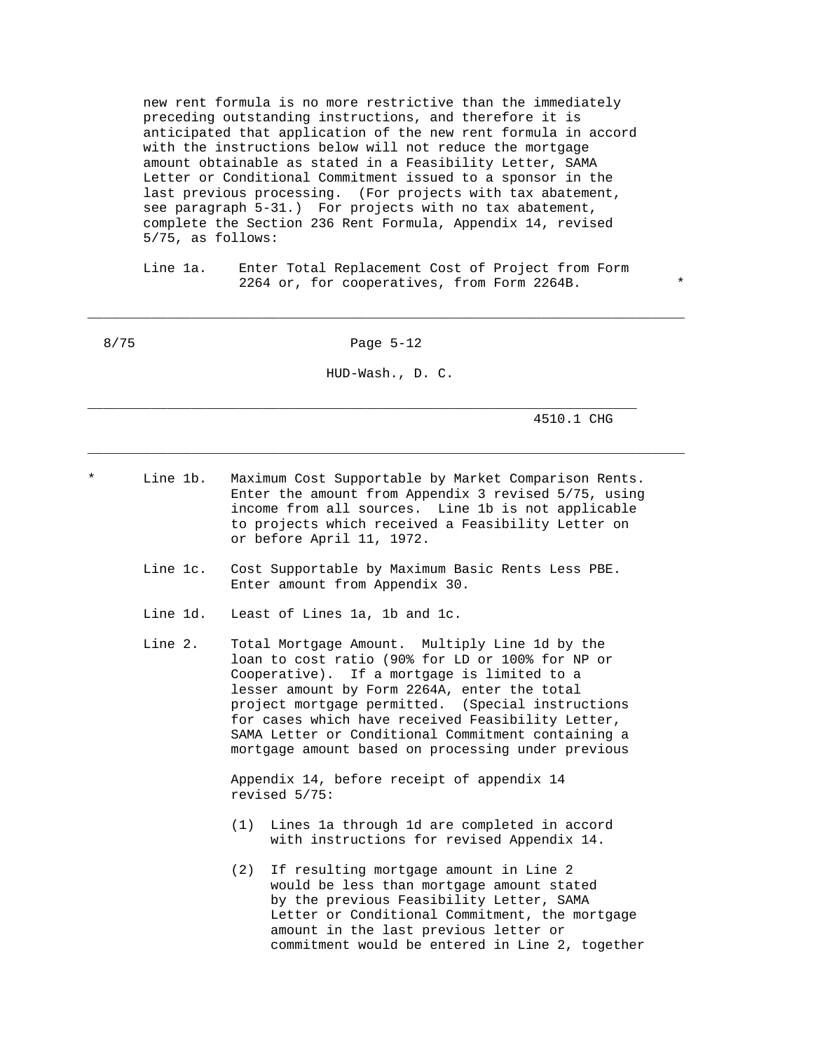new rent formula is no more restrictive than the immediately preceding outstanding instructions, and therefore it is anticipated that application of the new rent formula in accord with the instructions below will not reduce the mortgage amount obtainable as stated in a Feasibility Letter, SAMA Letter or Conditional Commitment issued to a sponsor in the last previous processing. (For projects with tax abatement, see paragraph 5-31.) For projects with no tax abatement, complete the Section 236 Rent Formula, Appendix 14, revised 5/75, as follows:

 Line 1a. Enter Total Replacement Cost of Project from Form 2264 or, for cooperatives, from Form 2264B. \*

8/75 Page 5-12

\_\_\_\_\_\_\_\_\_\_\_\_\_\_\_\_\_\_\_\_\_\_\_\_\_\_\_\_\_\_\_\_\_\_\_\_\_\_\_\_\_\_\_\_\_\_\_\_\_\_\_\_\_\_\_\_\_\_\_\_\_\_\_\_\_\_\_\_\_\_\_\_\_\_\_

HUD-Wash., D. C.

\_\_\_\_\_\_\_\_\_\_\_\_\_\_\_\_\_\_\_\_\_\_\_\_\_\_\_\_\_\_\_\_\_\_\_\_\_\_\_\_\_\_\_\_\_\_\_\_\_\_\_\_\_\_\_\_\_\_\_\_\_\_\_\_\_\_\_\_\_\_\_\_\_\_\_

4510.1 CHG

Line 1b. Maximum Cost Supportable by Market Comparison Rents. Enter the amount from Appendix 3 revised 5/75, using income from all sources. Line 1b is not applicable to projects which received a Feasibility Letter on or before April 11, 1972.

\_\_\_\_\_\_\_\_\_\_\_\_\_\_\_\_\_\_\_\_\_\_\_\_\_\_\_\_\_\_\_\_\_\_\_\_\_\_\_\_\_\_\_\_\_\_\_\_\_\_\_\_\_\_\_\_\_\_\_\_\_\_\_\_\_\_\_\_\_

- Line 1c. Cost Supportable by Maximum Basic Rents Less PBE. Enter amount from Appendix 30.
- Line 1d. Least of Lines 1a, 1b and 1c.
- Line 2. Total Mortgage Amount. Multiply Line 1d by the loan to cost ratio (90% for LD or 100% for NP or Cooperative). If a mortgage is limited to a lesser amount by Form 2264A, enter the total project mortgage permitted. (Special instructions for cases which have received Feasibility Letter, SAMA Letter or Conditional Commitment containing a mortgage amount based on processing under previous

 Appendix 14, before receipt of appendix 14 revised 5/75:

- (1) Lines 1a through 1d are completed in accord with instructions for revised Appendix 14.
- (2) If resulting mortgage amount in Line 2 would be less than mortgage amount stated by the previous Feasibility Letter, SAMA Letter or Conditional Commitment, the mortgage amount in the last previous letter or commitment would be entered in Line 2, together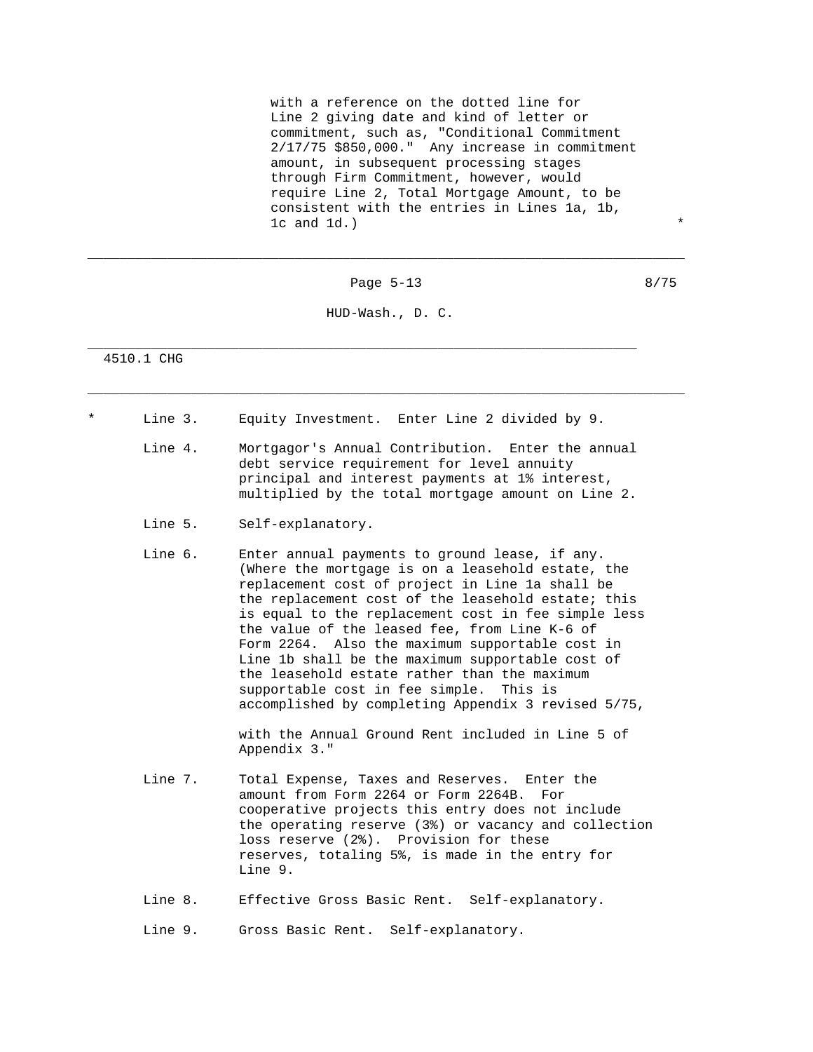with a reference on the dotted line for Line 2 giving date and kind of letter or commitment, such as, "Conditional Commitment 2/17/75 \$850,000." Any increase in commitment amount, in subsequent processing stages through Firm Commitment, however, would require Line 2, Total Mortgage Amount, to be consistent with the entries in Lines 1a, 1b,  $1c$  and  $1d.$ )

Page 5-13 8/75

\_\_\_\_\_\_\_\_\_\_\_\_\_\_\_\_\_\_\_\_\_\_\_\_\_\_\_\_\_\_\_\_\_\_\_\_\_\_\_\_\_\_\_\_\_\_\_\_\_\_\_\_\_\_\_\_\_\_\_\_\_\_\_\_\_\_\_\_\_\_\_\_\_\_\_

HUD-Wash., D. C.

\_\_\_\_\_\_\_\_\_\_\_\_\_\_\_\_\_\_\_\_\_\_\_\_\_\_\_\_\_\_\_\_\_\_\_\_\_\_\_\_\_\_\_\_\_\_\_\_\_\_\_\_\_\_\_\_\_\_\_\_\_\_\_\_\_\_\_\_\_\_\_\_\_\_\_

\_\_\_\_\_\_\_\_\_\_\_\_\_\_\_\_\_\_\_\_\_\_\_\_\_\_\_\_\_\_\_\_\_\_\_\_\_\_\_\_\_\_\_\_\_\_\_\_\_\_\_\_\_\_\_\_\_\_\_\_\_\_\_\_\_\_\_\_\_

4510.1 CHG

- Line 3. Equity Investment. Enter Line 2 divided by 9.
	- Line 4. Mortgagor's Annual Contribution. Enter the annual debt service requirement for level annuity principal and interest payments at 1% interest, multiplied by the total mortgage amount on Line 2.
	- Line 5. Self-explanatory.
	- Line 6. Enter annual payments to ground lease, if any. (Where the mortgage is on a leasehold estate, the replacement cost of project in Line 1a shall be the replacement cost of the leasehold estate; this is equal to the replacement cost in fee simple less the value of the leased fee, from Line K-6 of Form 2264. Also the maximum supportable cost in Line 1b shall be the maximum supportable cost of the leasehold estate rather than the maximum supportable cost in fee simple. This is accomplished by completing Appendix 3 revised 5/75,

 with the Annual Ground Rent included in Line 5 of Appendix 3."

- Line 7. Total Expense, Taxes and Reserves. Enter the amount from Form 2264 or Form 2264B. For cooperative projects this entry does not include the operating reserve (3%) or vacancy and collection loss reserve (2%). Provision for these reserves, totaling 5%, is made in the entry for Line 9.
- Line 8. Effective Gross Basic Rent. Self-explanatory.

Line 9. Gross Basic Rent. Self-explanatory.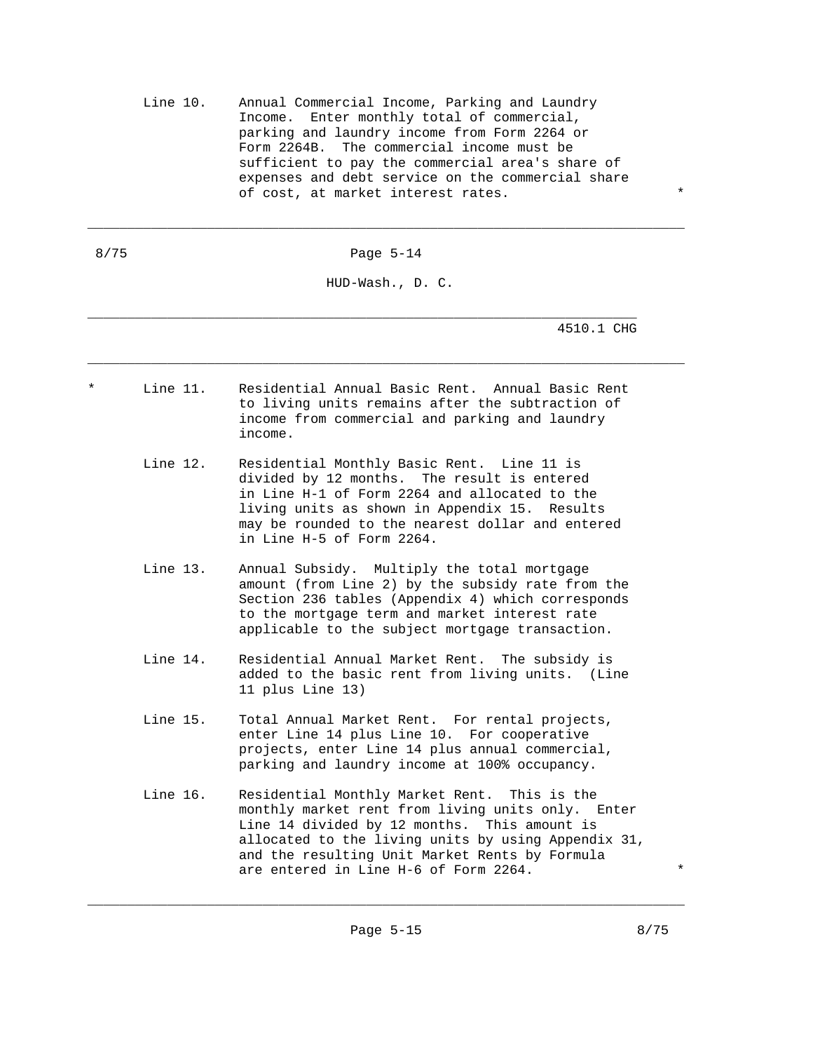Line 10. Annual Commercial Income, Parking and Laundry Income. Enter monthly total of commercial, parking and laundry income from Form 2264 or Form 2264B. The commercial income must be sufficient to pay the commercial area's share of expenses and debt service on the commercial share of cost, at market interest rates.

8/75 Page 5-14

\_\_\_\_\_\_\_\_\_\_\_\_\_\_\_\_\_\_\_\_\_\_\_\_\_\_\_\_\_\_\_\_\_\_\_\_\_\_\_\_\_\_\_\_\_\_\_\_\_\_\_\_\_\_\_\_\_\_\_\_\_\_\_\_\_\_\_\_\_\_\_\_\_\_\_

HUD-Wash., D. C.

\_\_\_\_\_\_\_\_\_\_\_\_\_\_\_\_\_\_\_\_\_\_\_\_\_\_\_\_\_\_\_\_\_\_\_\_\_\_\_\_\_\_\_\_\_\_\_\_\_\_\_\_\_\_\_\_\_\_\_\_\_\_\_\_\_\_\_\_\_\_\_\_\_\_\_

\_\_\_\_\_\_\_\_\_\_\_\_\_\_\_\_\_\_\_\_\_\_\_\_\_\_\_\_\_\_\_\_\_\_\_\_\_\_\_\_\_\_\_\_\_\_\_\_\_\_\_\_\_\_\_\_\_\_\_\_\_\_\_\_\_\_\_\_\_ 4510.1 CHG

- Line 11. Residential Annual Basic Rent. Annual Basic Rent to living units remains after the subtraction of income from commercial and parking and laundry income.
	- Line 12. Residential Monthly Basic Rent. Line 11 is divided by 12 months. The result is entered in Line H-1 of Form 2264 and allocated to the living units as shown in Appendix 15. Results may be rounded to the nearest dollar and entered in Line H-5 of Form 2264.
	- Line 13. Annual Subsidy. Multiply the total mortgage amount (from Line 2) by the subsidy rate from the Section 236 tables (Appendix 4) which corresponds to the mortgage term and market interest rate applicable to the subject mortgage transaction.
	- Line 14. Residential Annual Market Rent. The subsidy is added to the basic rent from living units. (Line 11 plus Line 13)
	- Line 15. Total Annual Market Rent. For rental projects, enter Line 14 plus Line 10. For cooperative projects, enter Line 14 plus annual commercial, parking and laundry income at 100% occupancy.
	- Line 16. Residential Monthly Market Rent. This is the monthly market rent from living units only. Enter Line 14 divided by 12 months. This amount is allocated to the living units by using Appendix 31, and the resulting Unit Market Rents by Formula are entered in Line H-6 of Form 2264.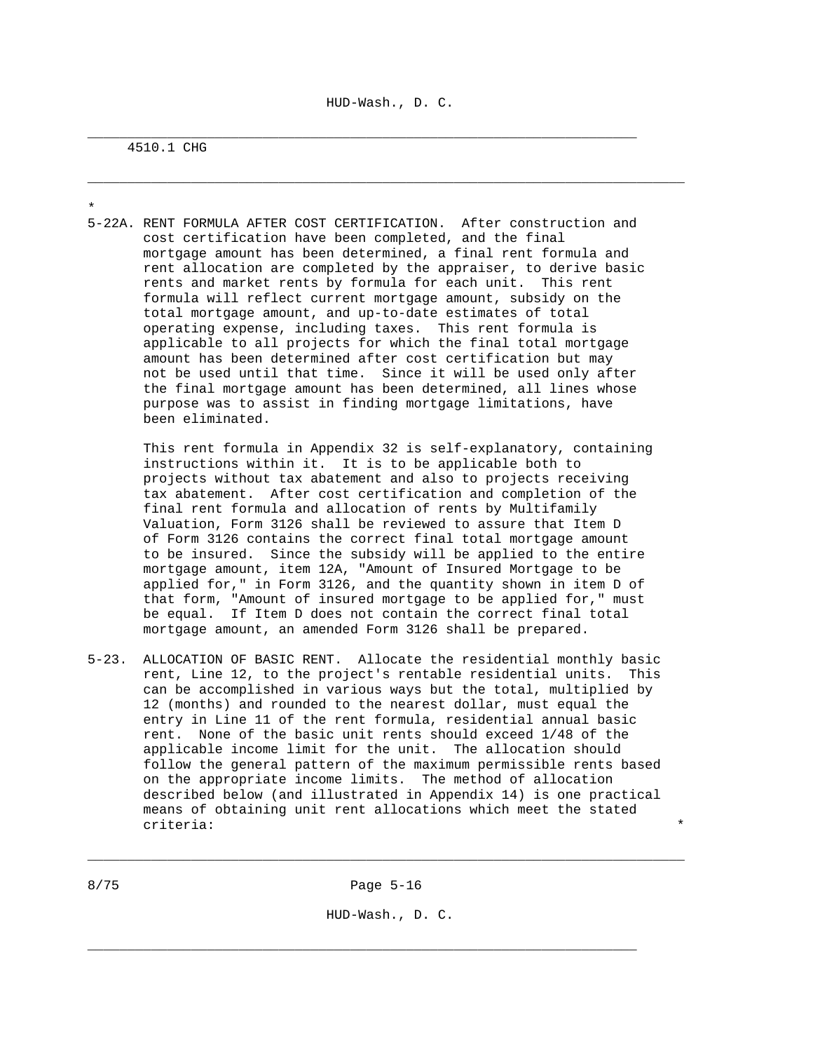\_\_\_\_\_\_\_\_\_\_\_\_\_\_\_\_\_\_\_\_\_\_\_\_\_\_\_\_\_\_\_\_\_\_\_\_\_\_\_\_\_\_\_\_\_\_\_\_\_\_\_\_\_\_\_\_\_\_\_\_\_\_\_\_\_\_\_\_\_\_\_\_\_\_\_

\_\_\_\_\_\_\_\_\_\_\_\_\_\_\_\_\_\_\_\_\_\_\_\_\_\_\_\_\_\_\_\_\_\_\_\_\_\_\_\_\_\_\_\_\_\_\_\_\_\_\_\_\_\_\_\_\_\_\_\_\_\_\_\_\_\_\_\_\_

# 4510.1 CHG

\* 5-22A. RENT FORMULA AFTER COST CERTIFICATION. After construction and cost certification have been completed, and the final mortgage amount has been determined, a final rent formula and rent allocation are completed by the appraiser, to derive basic rents and market rents by formula for each unit. This rent formula will reflect current mortgage amount, subsidy on the total mortgage amount, and up-to-date estimates of total operating expense, including taxes. This rent formula is applicable to all projects for which the final total mortgage amount has been determined after cost certification but may not be used until that time. Since it will be used only after the final mortgage amount has been determined, all lines whose purpose was to assist in finding mortgage limitations, have been eliminated.

 This rent formula in Appendix 32 is self-explanatory, containing instructions within it. It is to be applicable both to projects without tax abatement and also to projects receiving tax abatement. After cost certification and completion of the final rent formula and allocation of rents by Multifamily Valuation, Form 3126 shall be reviewed to assure that Item D of Form 3126 contains the correct final total mortgage amount to be insured. Since the subsidy will be applied to the entire mortgage amount, item 12A, "Amount of Insured Mortgage to be applied for," in Form 3126, and the quantity shown in item D of that form, "Amount of insured mortgage to be applied for," must be equal. If Item D does not contain the correct final total mortgage amount, an amended Form 3126 shall be prepared.

5-23. ALLOCATION OF BASIC RENT. Allocate the residential monthly basic rent, Line 12, to the project's rentable residential units. This can be accomplished in various ways but the total, multiplied by 12 (months) and rounded to the nearest dollar, must equal the entry in Line 11 of the rent formula, residential annual basic rent. None of the basic unit rents should exceed 1/48 of the applicable income limit for the unit. The allocation should follow the general pattern of the maximum permissible rents based on the appropriate income limits. The method of allocation described below (and illustrated in Appendix 14) is one practical means of obtaining unit rent allocations which meet the stated criteria: \*

\_\_\_\_\_\_\_\_\_\_\_\_\_\_\_\_\_\_\_\_\_\_\_\_\_\_\_\_\_\_\_\_\_\_\_\_\_\_\_\_\_\_\_\_\_\_\_\_\_\_\_\_\_\_\_\_\_\_\_\_\_\_\_\_\_\_\_\_\_

HUD-Wash., D. C.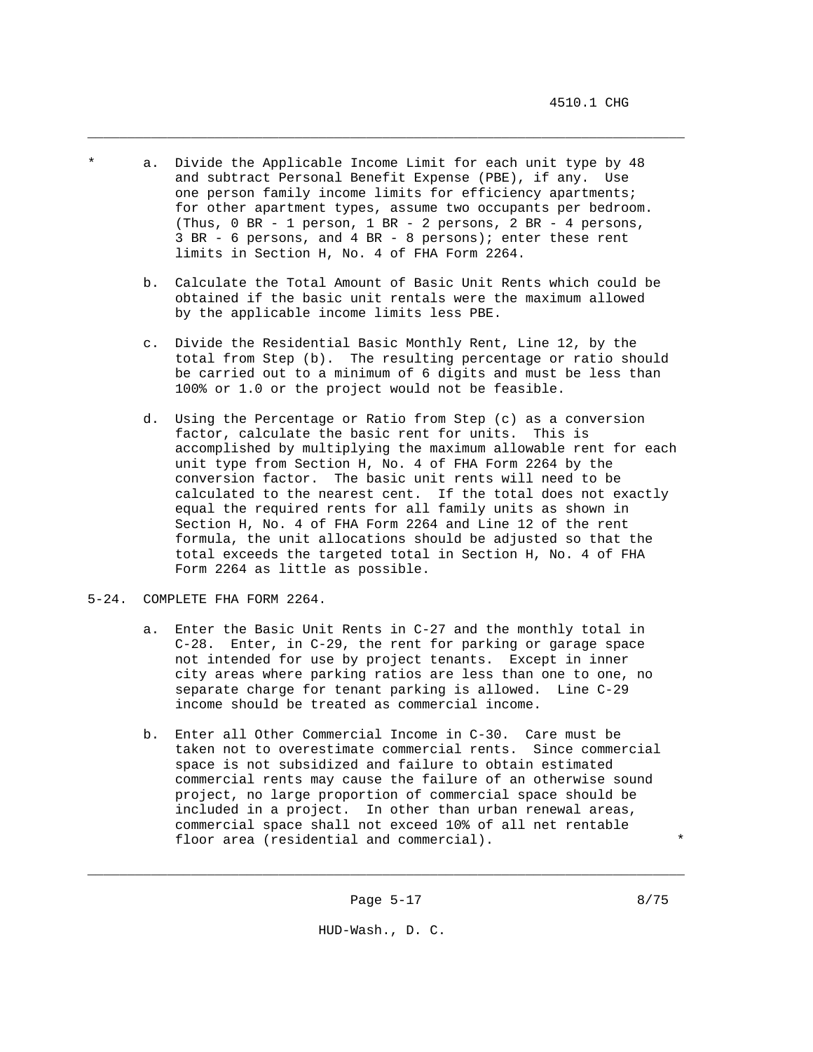a. Divide the Applicable Income Limit for each unit type by 48 and subtract Personal Benefit Expense (PBE), if any. Use one person family income limits for efficiency apartments; for other apartment types, assume two occupants per bedroom. (Thus, 0 BR - 1 person, 1 BR - 2 persons, 2 BR - 4 persons, 3 BR - 6 persons, and 4 BR - 8 persons); enter these rent limits in Section H, No. 4 of FHA Form 2264.

\_\_\_\_\_\_\_\_\_\_\_\_\_\_\_\_\_\_\_\_\_\_\_\_\_\_\_\_\_\_\_\_\_\_\_\_\_\_\_\_\_\_\_\_\_\_\_\_\_\_\_\_\_\_\_\_\_\_\_\_\_\_\_\_\_\_\_\_\_\_\_\_\_\_\_

- b. Calculate the Total Amount of Basic Unit Rents which could be obtained if the basic unit rentals were the maximum allowed by the applicable income limits less PBE.
- c. Divide the Residential Basic Monthly Rent, Line 12, by the total from Step (b). The resulting percentage or ratio should be carried out to a minimum of 6 digits and must be less than 100% or 1.0 or the project would not be feasible.
- d. Using the Percentage or Ratio from Step (c) as a conversion factor, calculate the basic rent for units. This is accomplished by multiplying the maximum allowable rent for each unit type from Section H, No. 4 of FHA Form 2264 by the conversion factor. The basic unit rents will need to be calculated to the nearest cent. If the total does not exactly equal the required rents for all family units as shown in Section H, No. 4 of FHA Form 2264 and Line 12 of the rent formula, the unit allocations should be adjusted so that the total exceeds the targeted total in Section H, No. 4 of FHA Form 2264 as little as possible.
- 5-24. COMPLETE FHA FORM 2264.
	- a. Enter the Basic Unit Rents in C-27 and the monthly total in C-28. Enter, in C-29, the rent for parking or garage space not intended for use by project tenants. Except in inner city areas where parking ratios are less than one to one, no separate charge for tenant parking is allowed. Line C-29 income should be treated as commercial income.
	- b. Enter all Other Commercial Income in C-30. Care must be taken not to overestimate commercial rents. Since commercial space is not subsidized and failure to obtain estimated commercial rents may cause the failure of an otherwise sound project, no large proportion of commercial space should be included in a project. In other than urban renewal areas, commercial space shall not exceed 10% of all net rentable floor area (residential and commercial).

\_\_\_\_\_\_\_\_\_\_\_\_\_\_\_\_\_\_\_\_\_\_\_\_\_\_\_\_\_\_\_\_\_\_\_\_\_\_\_\_\_\_\_\_\_\_\_\_\_\_\_\_\_\_\_\_\_\_\_\_\_\_\_\_\_\_\_\_\_\_\_\_\_\_\_

HUD-Wash., D. C.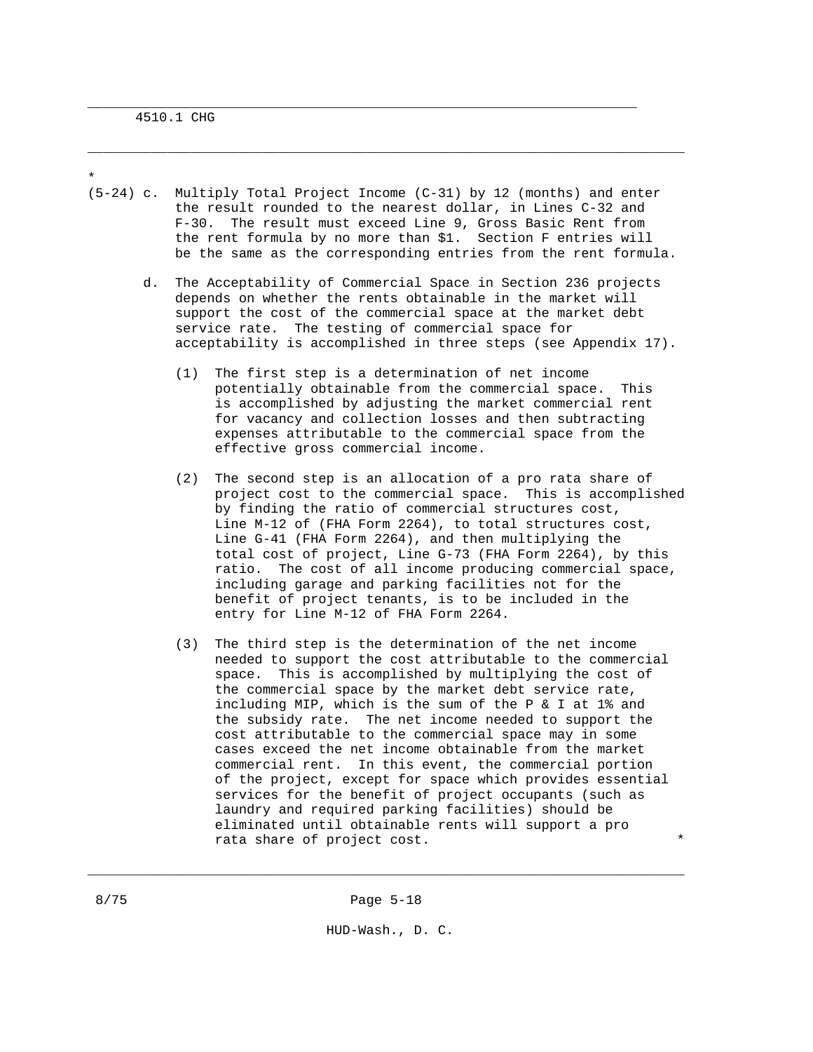\* (5-24) c. Multiply Total Project Income (C-31) by 12 (months) and enter the result rounded to the nearest dollar, in Lines C-32 and F-30. The result must exceed Line 9, Gross Basic Rent from the rent formula by no more than \$1. Section F entries will be the same as the corresponding entries from the rent formula.

\_\_\_\_\_\_\_\_\_\_\_\_\_\_\_\_\_\_\_\_\_\_\_\_\_\_\_\_\_\_\_\_\_\_\_\_\_\_\_\_\_\_\_\_\_\_\_\_\_\_\_\_\_\_\_\_\_\_\_\_\_\_\_\_\_\_\_\_\_\_\_\_\_\_\_

\_\_\_\_\_\_\_\_\_\_\_\_\_\_\_\_\_\_\_\_\_\_\_\_\_\_\_\_\_\_\_\_\_\_\_\_\_\_\_\_\_\_\_\_\_\_\_\_\_\_\_\_\_\_\_\_\_\_\_\_\_\_\_\_\_\_\_\_\_

- d. The Acceptability of Commercial Space in Section 236 projects depends on whether the rents obtainable in the market will support the cost of the commercial space at the market debt service rate. The testing of commercial space for acceptability is accomplished in three steps (see Appendix 17).
	- (1) The first step is a determination of net income potentially obtainable from the commercial space. This is accomplished by adjusting the market commercial rent for vacancy and collection losses and then subtracting expenses attributable to the commercial space from the effective gross commercial income.
	- (2) The second step is an allocation of a pro rata share of project cost to the commercial space. This is accomplished by finding the ratio of commercial structures cost, Line M-12 of (FHA Form 2264), to total structures cost, Line G-41 (FHA Form 2264), and then multiplying the total cost of project, Line G-73 (FHA Form 2264), by this ratio. The cost of all income producing commercial space, including garage and parking facilities not for the benefit of project tenants, is to be included in the entry for Line M-12 of FHA Form 2264.
	- (3) The third step is the determination of the net income needed to support the cost attributable to the commercial space. This is accomplished by multiplying the cost of the commercial space by the market debt service rate, including MIP, which is the sum of the P & I at 1% and the subsidy rate. The net income needed to support the cost attributable to the commercial space may in some cases exceed the net income obtainable from the market commercial rent. In this event, the commercial portion of the project, except for space which provides essential services for the benefit of project occupants (such as laundry and required parking facilities) should be eliminated until obtainable rents will support a pro rata share of project cost.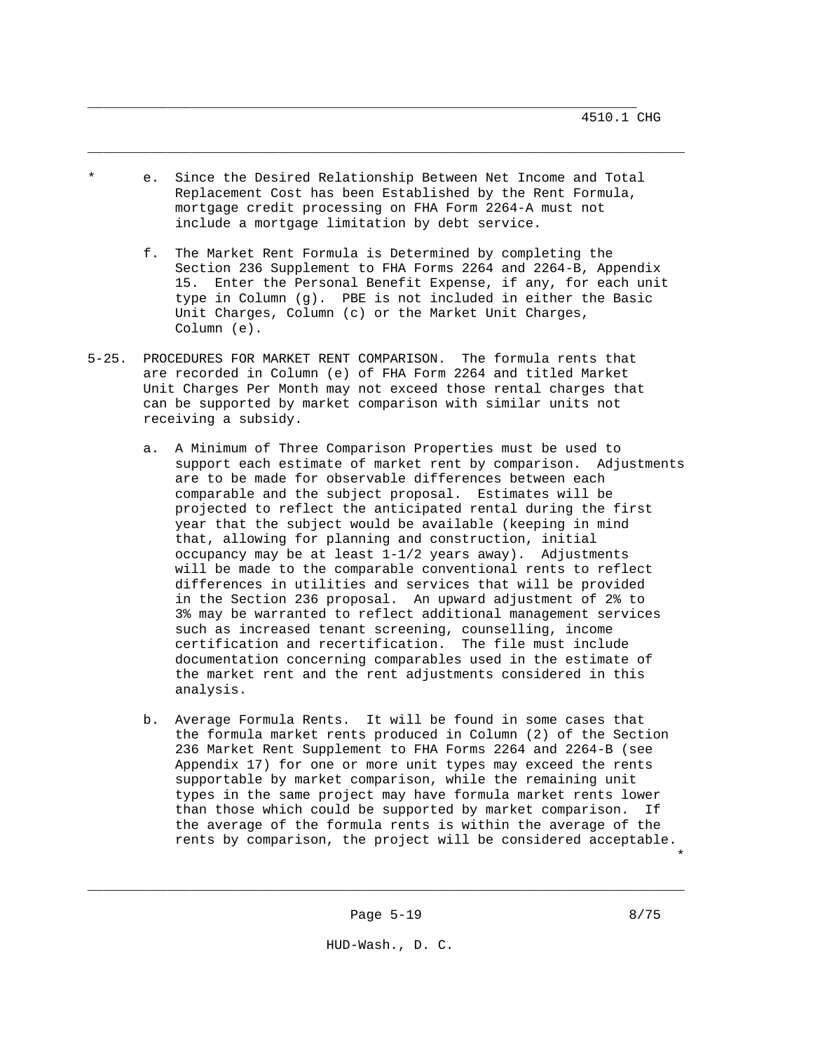\* e. Since the Desired Relationship Between Net Income and Total Replacement Cost has been Established by the Rent Formula, mortgage credit processing on FHA Form 2264-A must not include a mortgage limitation by debt service.

\_\_\_\_\_\_\_\_\_\_\_\_\_\_\_\_\_\_\_\_\_\_\_\_\_\_\_\_\_\_\_\_\_\_\_\_\_\_\_\_\_\_\_\_\_\_\_\_\_\_\_\_\_\_\_\_\_\_\_\_\_\_\_\_\_\_\_\_\_\_\_\_\_\_\_

- f. The Market Rent Formula is Determined by completing the Section 236 Supplement to FHA Forms 2264 and 2264-B, Appendix 15. Enter the Personal Benefit Expense, if any, for each unit type in Column (g). PBE is not included in either the Basic Unit Charges, Column (c) or the Market Unit Charges, Column (e).
- 5-25. PROCEDURES FOR MARKET RENT COMPARISON. The formula rents that are recorded in Column (e) of FHA Form 2264 and titled Market Unit Charges Per Month may not exceed those rental charges that can be supported by market comparison with similar units not receiving a subsidy.
	- a. A Minimum of Three Comparison Properties must be used to support each estimate of market rent by comparison. Adjustments are to be made for observable differences between each comparable and the subject proposal. Estimates will be projected to reflect the anticipated rental during the first year that the subject would be available (keeping in mind that, allowing for planning and construction, initial occupancy may be at least 1-1/2 years away). Adjustments will be made to the comparable conventional rents to reflect differences in utilities and services that will be provided in the Section 236 proposal. An upward adjustment of 2% to 3% may be warranted to reflect additional management services such as increased tenant screening, counselling, income certification and recertification. The file must include documentation concerning comparables used in the estimate of the market rent and the rent adjustments considered in this analysis.
	- b. Average Formula Rents. It will be found in some cases that the formula market rents produced in Column (2) of the Section 236 Market Rent Supplement to FHA Forms 2264 and 2264-B (see Appendix 17) for one or more unit types may exceed the rents supportable by market comparison, while the remaining unit types in the same project may have formula market rents lower than those which could be supported by market comparison. If the average of the formula rents is within the average of the rents by comparison, the project will be considered acceptable.

\*

\_\_\_\_\_\_\_\_\_\_\_\_\_\_\_\_\_\_\_\_\_\_\_\_\_\_\_\_\_\_\_\_\_\_\_\_\_\_\_\_\_\_\_\_\_\_\_\_\_\_\_\_\_\_\_\_\_\_\_\_\_\_\_\_\_\_\_\_\_\_\_\_\_\_\_

HUD-Wash., D. C.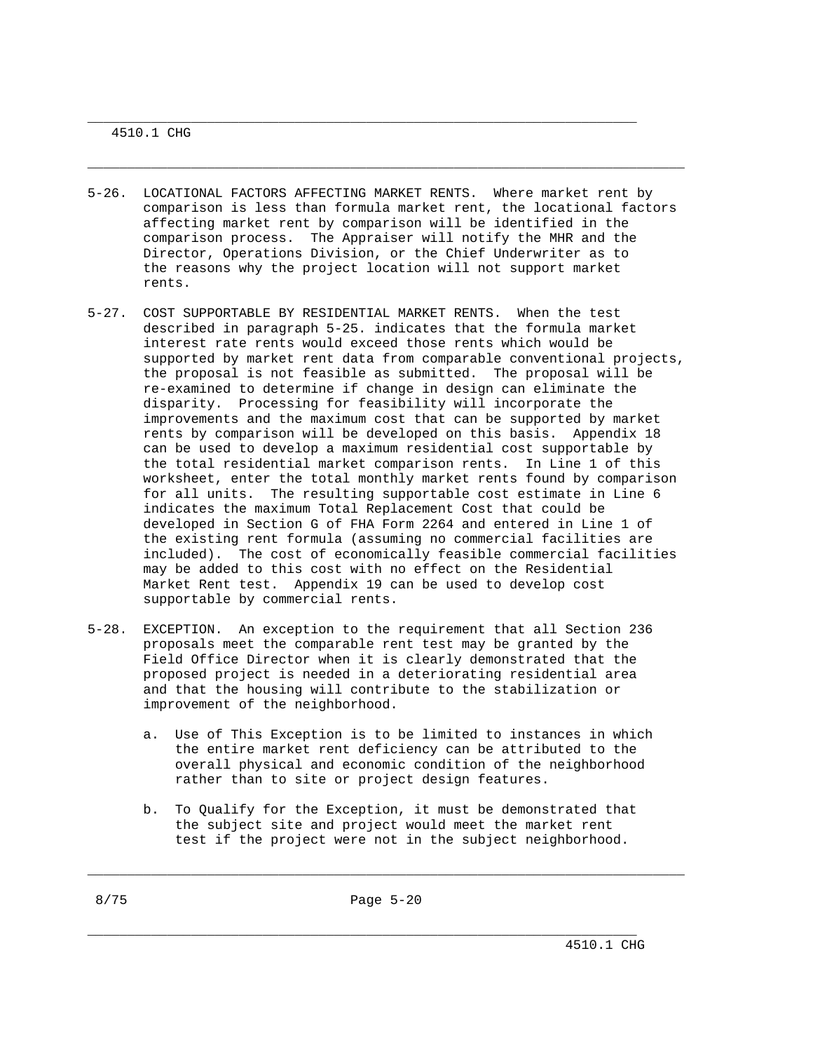4510.1 CHG

5-26. LOCATIONAL FACTORS AFFECTING MARKET RENTS. Where market rent by comparison is less than formula market rent, the locational factors affecting market rent by comparison will be identified in the comparison process. The Appraiser will notify the MHR and the Director, Operations Division, or the Chief Underwriter as to the reasons why the project location will not support market rents.

\_\_\_\_\_\_\_\_\_\_\_\_\_\_\_\_\_\_\_\_\_\_\_\_\_\_\_\_\_\_\_\_\_\_\_\_\_\_\_\_\_\_\_\_\_\_\_\_\_\_\_\_\_\_\_\_\_\_\_\_\_\_\_\_\_\_\_\_\_\_\_\_\_\_\_

\_\_\_\_\_\_\_\_\_\_\_\_\_\_\_\_\_\_\_\_\_\_\_\_\_\_\_\_\_\_\_\_\_\_\_\_\_\_\_\_\_\_\_\_\_\_\_\_\_\_\_\_\_\_\_\_\_\_\_\_\_\_\_\_\_\_\_\_\_

- 5-27. COST SUPPORTABLE BY RESIDENTIAL MARKET RENTS. When the test described in paragraph 5-25. indicates that the formula market interest rate rents would exceed those rents which would be supported by market rent data from comparable conventional projects, the proposal is not feasible as submitted. The proposal will be re-examined to determine if change in design can eliminate the disparity. Processing for feasibility will incorporate the improvements and the maximum cost that can be supported by market rents by comparison will be developed on this basis. Appendix 18 can be used to develop a maximum residential cost supportable by the total residential market comparison rents. In Line 1 of this worksheet, enter the total monthly market rents found by comparison for all units. The resulting supportable cost estimate in Line 6 indicates the maximum Total Replacement Cost that could be developed in Section G of FHA Form 2264 and entered in Line 1 of the existing rent formula (assuming no commercial facilities are included). The cost of economically feasible commercial facilities may be added to this cost with no effect on the Residential Market Rent test. Appendix 19 can be used to develop cost supportable by commercial rents.
- 5-28. EXCEPTION. An exception to the requirement that all Section 236 proposals meet the comparable rent test may be granted by the Field Office Director when it is clearly demonstrated that the proposed project is needed in a deteriorating residential area and that the housing will contribute to the stabilization or improvement of the neighborhood.
	- a. Use of This Exception is to be limited to instances in which the entire market rent deficiency can be attributed to the overall physical and economic condition of the neighborhood rather than to site or project design features.
	- b. To Qualify for the Exception, it must be demonstrated that the subject site and project would meet the market rent test if the project were not in the subject neighborhood.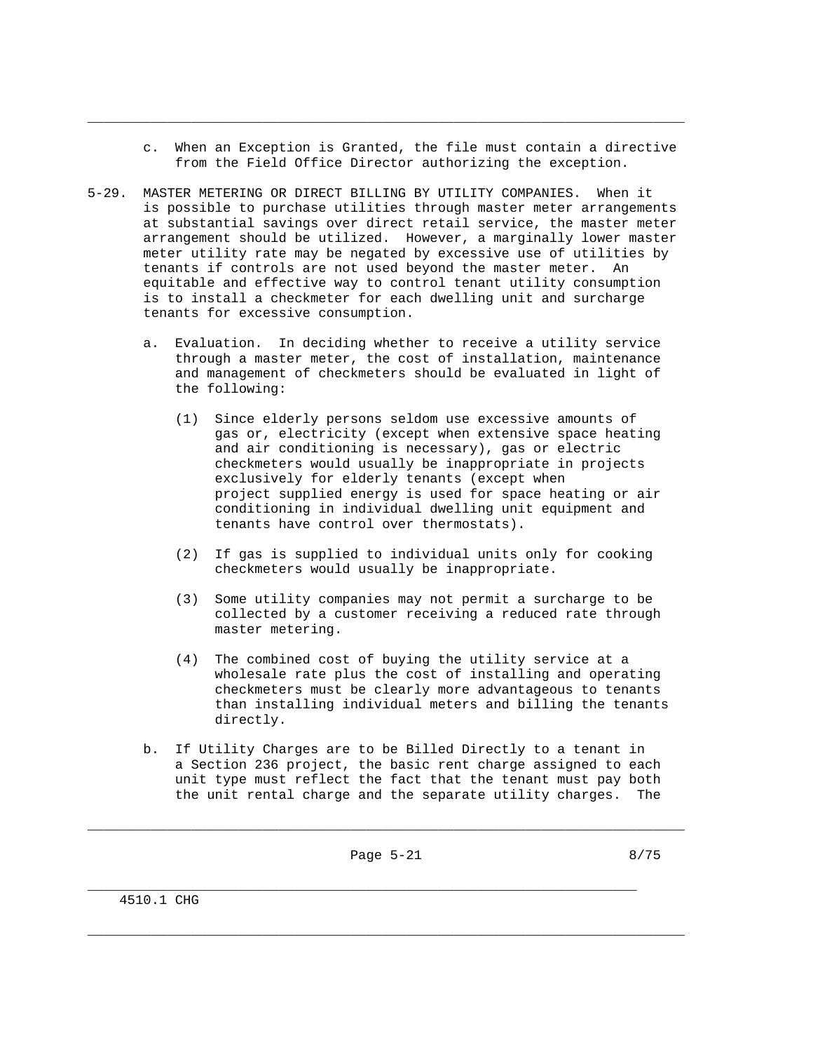c. When an Exception is Granted, the file must contain a directive from the Field Office Director authorizing the exception.

\_\_\_\_\_\_\_\_\_\_\_\_\_\_\_\_\_\_\_\_\_\_\_\_\_\_\_\_\_\_\_\_\_\_\_\_\_\_\_\_\_\_\_\_\_\_\_\_\_\_\_\_\_\_\_\_\_\_\_\_\_\_\_\_\_\_\_\_\_\_\_\_\_\_\_

- 5-29. MASTER METERING OR DIRECT BILLING BY UTILITY COMPANIES. When it is possible to purchase utilities through master meter arrangements at substantial savings over direct retail service, the master meter arrangement should be utilized. However, a marginally lower master meter utility rate may be negated by excessive use of utilities by tenants if controls are not used beyond the master meter. An equitable and effective way to control tenant utility consumption is to install a checkmeter for each dwelling unit and surcharge tenants for excessive consumption.
	- a. Evaluation. In deciding whether to receive a utility service through a master meter, the cost of installation, maintenance and management of checkmeters should be evaluated in light of the following:
		- (1) Since elderly persons seldom use excessive amounts of gas or, electricity (except when extensive space heating and air conditioning is necessary), gas or electric checkmeters would usually be inappropriate in projects exclusively for elderly tenants (except when project supplied energy is used for space heating or air conditioning in individual dwelling unit equipment and tenants have control over thermostats).
		- (2) If gas is supplied to individual units only for cooking checkmeters would usually be inappropriate.
		- (3) Some utility companies may not permit a surcharge to be collected by a customer receiving a reduced rate through master metering.
		- (4) The combined cost of buying the utility service at a wholesale rate plus the cost of installing and operating checkmeters must be clearly more advantageous to tenants than installing individual meters and billing the tenants directly.
	- b. If Utility Charges are to be Billed Directly to a tenant in a Section 236 project, the basic rent charge assigned to each unit type must reflect the fact that the tenant must pay both the unit rental charge and the separate utility charges. The

\_\_\_\_\_\_\_\_\_\_\_\_\_\_\_\_\_\_\_\_\_\_\_\_\_\_\_\_\_\_\_\_\_\_\_\_\_\_\_\_\_\_\_\_\_\_\_\_\_\_\_\_\_\_\_\_\_\_\_\_\_\_\_\_\_\_\_\_\_\_\_\_\_\_\_

\_\_\_\_\_\_\_\_\_\_\_\_\_\_\_\_\_\_\_\_\_\_\_\_\_\_\_\_\_\_\_\_\_\_\_\_\_\_\_\_\_\_\_\_\_\_\_\_\_\_\_\_\_\_\_\_\_\_\_\_\_\_\_\_\_\_\_\_\_

\_\_\_\_\_\_\_\_\_\_\_\_\_\_\_\_\_\_\_\_\_\_\_\_\_\_\_\_\_\_\_\_\_\_\_\_\_\_\_\_\_\_\_\_\_\_\_\_\_\_\_\_\_\_\_\_\_\_\_\_\_\_\_\_\_\_\_\_\_\_\_\_\_\_\_

4510.1 CHG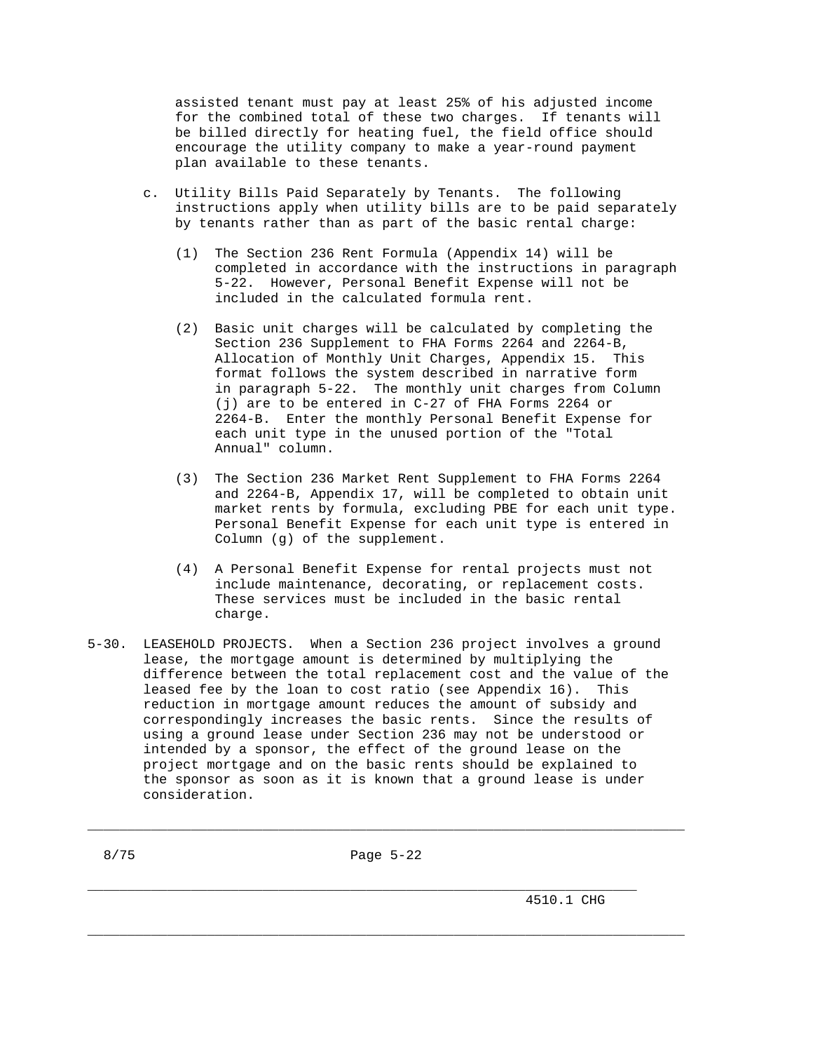assisted tenant must pay at least 25% of his adjusted income for the combined total of these two charges. If tenants will be billed directly for heating fuel, the field office should encourage the utility company to make a year-round payment plan available to these tenants.

- c. Utility Bills Paid Separately by Tenants. The following instructions apply when utility bills are to be paid separately by tenants rather than as part of the basic rental charge:
	- (1) The Section 236 Rent Formula (Appendix 14) will be completed in accordance with the instructions in paragraph 5-22. However, Personal Benefit Expense will not be included in the calculated formula rent.
	- (2) Basic unit charges will be calculated by completing the Section 236 Supplement to FHA Forms 2264 and 2264-B, Allocation of Monthly Unit Charges, Appendix 15. This format follows the system described in narrative form in paragraph 5-22. The monthly unit charges from Column (j) are to be entered in C-27 of FHA Forms 2264 or 2264-B. Enter the monthly Personal Benefit Expense for each unit type in the unused portion of the "Total Annual" column.
	- (3) The Section 236 Market Rent Supplement to FHA Forms 2264 and 2264-B, Appendix 17, will be completed to obtain unit market rents by formula, excluding PBE for each unit type. Personal Benefit Expense for each unit type is entered in Column (g) of the supplement.
	- (4) A Personal Benefit Expense for rental projects must not include maintenance, decorating, or replacement costs. These services must be included in the basic rental charge.
- 5-30. LEASEHOLD PROJECTS. When a Section 236 project involves a ground lease, the mortgage amount is determined by multiplying the difference between the total replacement cost and the value of the leased fee by the loan to cost ratio (see Appendix 16). This reduction in mortgage amount reduces the amount of subsidy and correspondingly increases the basic rents. Since the results of using a ground lease under Section 236 may not be understood or intended by a sponsor, the effect of the ground lease on the project mortgage and on the basic rents should be explained to the sponsor as soon as it is known that a ground lease is under consideration.

\_\_\_\_\_\_\_\_\_\_\_\_\_\_\_\_\_\_\_\_\_\_\_\_\_\_\_\_\_\_\_\_\_\_\_\_\_\_\_\_\_\_\_\_\_\_\_\_\_\_\_\_\_\_\_\_\_\_\_\_\_\_\_\_\_\_\_\_\_\_\_\_\_\_\_

\_\_\_\_\_\_\_\_\_\_\_\_\_\_\_\_\_\_\_\_\_\_\_\_\_\_\_\_\_\_\_\_\_\_\_\_\_\_\_\_\_\_\_\_\_\_\_\_\_\_\_\_\_\_\_\_\_\_\_\_\_\_\_\_\_\_\_\_\_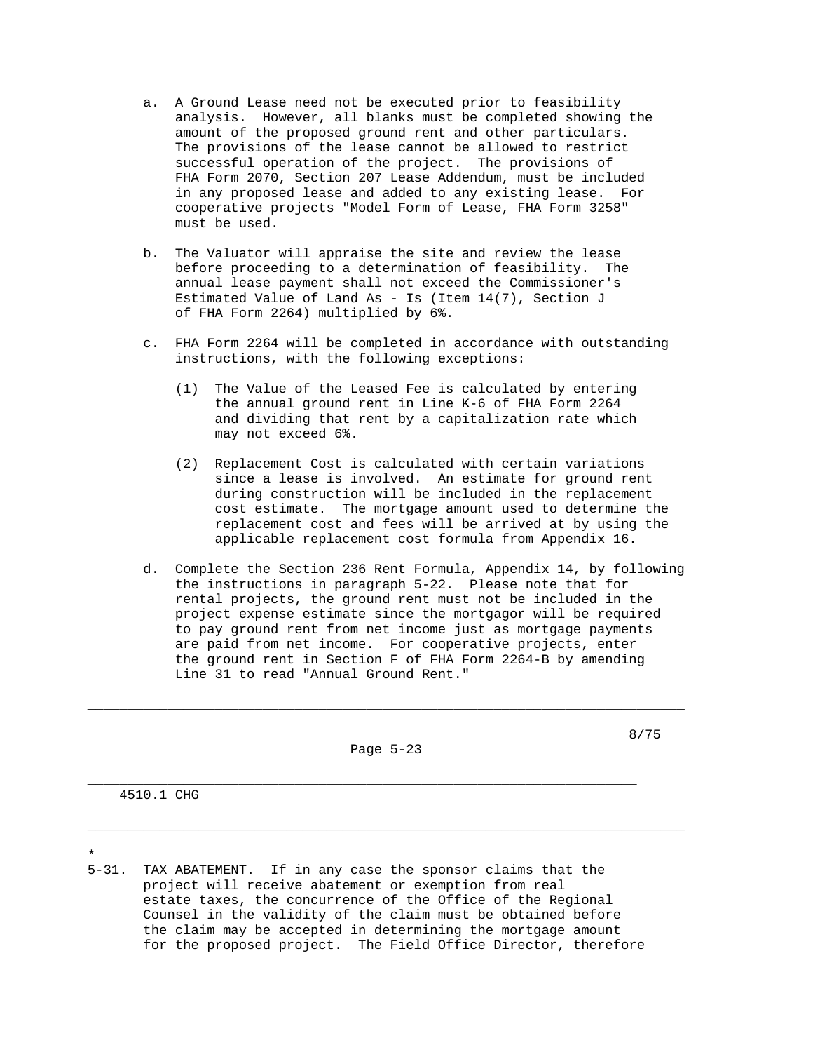- a. A Ground Lease need not be executed prior to feasibility analysis. However, all blanks must be completed showing the amount of the proposed ground rent and other particulars. The provisions of the lease cannot be allowed to restrict successful operation of the project. The provisions of FHA Form 2070, Section 207 Lease Addendum, must be included in any proposed lease and added to any existing lease. For cooperative projects "Model Form of Lease, FHA Form 3258" must be used.
- b. The Valuator will appraise the site and review the lease before proceeding to a determination of feasibility. The annual lease payment shall not exceed the Commissioner's Estimated Value of Land As - Is (Item 14(7), Section J of FHA Form 2264) multiplied by 6%.
- c. FHA Form 2264 will be completed in accordance with outstanding instructions, with the following exceptions:
	- (1) The Value of the Leased Fee is calculated by entering the annual ground rent in Line K-6 of FHA Form 2264 and dividing that rent by a capitalization rate which may not exceed 6%.
	- (2) Replacement Cost is calculated with certain variations since a lease is involved. An estimate for ground rent during construction will be included in the replacement cost estimate. The mortgage amount used to determine the replacement cost and fees will be arrived at by using the applicable replacement cost formula from Appendix 16.
- d. Complete the Section 236 Rent Formula, Appendix 14, by following the instructions in paragraph 5-22. Please note that for rental projects, the ground rent must not be included in the project expense estimate since the mortgagor will be required to pay ground rent from net income just as mortgage payments are paid from net income. For cooperative projects, enter the ground rent in Section F of FHA Form 2264-B by amending Line 31 to read "Annual Ground Rent."

Page 5-23

\_\_\_\_\_\_\_\_\_\_\_\_\_\_\_\_\_\_\_\_\_\_\_\_\_\_\_\_\_\_\_\_\_\_\_\_\_\_\_\_\_\_\_\_\_\_\_\_\_\_\_\_\_\_\_\_\_\_\_\_\_\_\_\_\_\_\_\_\_\_\_\_\_\_\_

\_\_\_\_\_\_\_\_\_\_\_\_\_\_\_\_\_\_\_\_\_\_\_\_\_\_\_\_\_\_\_\_\_\_\_\_\_\_\_\_\_\_\_\_\_\_\_\_\_\_\_\_\_\_\_\_\_\_\_\_\_\_\_\_\_\_\_\_\_\_\_\_\_\_\_

8/75

4510.1 CHG

\*

5-31. TAX ABATEMENT. If in any case the sponsor claims that the project will receive abatement or exemption from real estate taxes, the concurrence of the Office of the Regional Counsel in the validity of the claim must be obtained before the claim may be accepted in determining the mortgage amount for the proposed project. The Field Office Director, therefore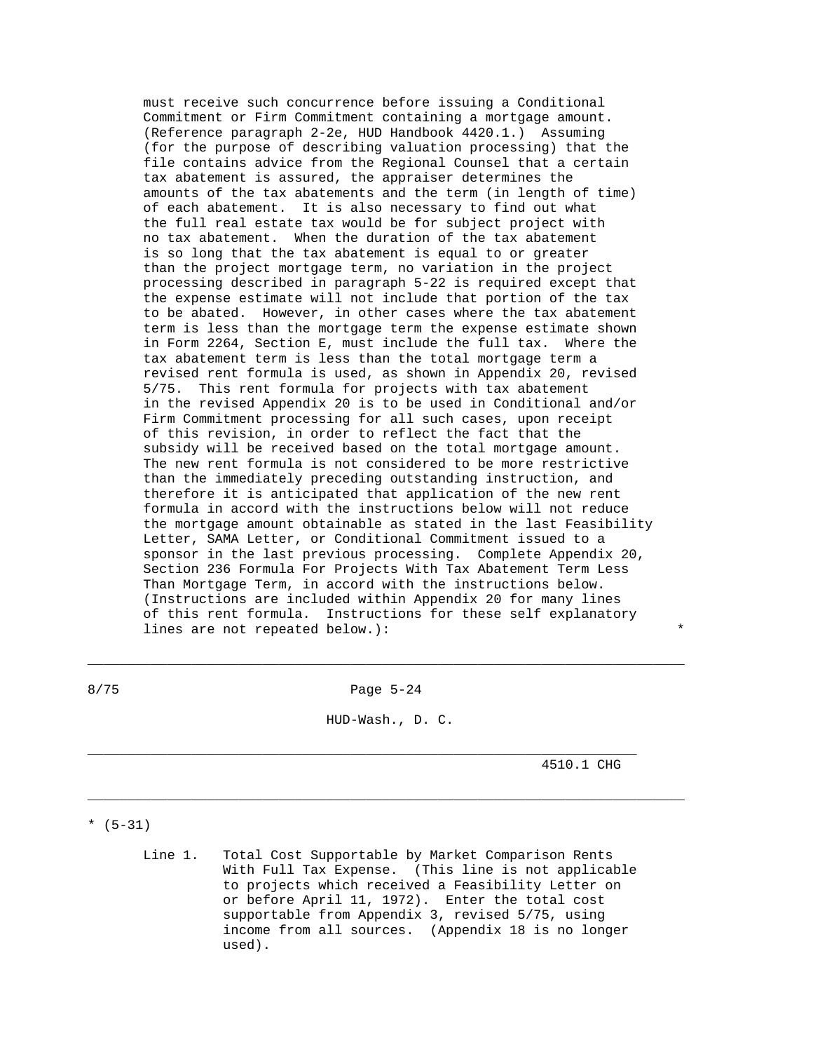must receive such concurrence before issuing a Conditional Commitment or Firm Commitment containing a mortgage amount. (Reference paragraph 2-2e, HUD Handbook 4420.1.) Assuming (for the purpose of describing valuation processing) that the file contains advice from the Regional Counsel that a certain tax abatement is assured, the appraiser determines the amounts of the tax abatements and the term (in length of time) of each abatement. It is also necessary to find out what the full real estate tax would be for subject project with no tax abatement. When the duration of the tax abatement is so long that the tax abatement is equal to or greater than the project mortgage term, no variation in the project processing described in paragraph 5-22 is required except that the expense estimate will not include that portion of the tax to be abated. However, in other cases where the tax abatement term is less than the mortgage term the expense estimate shown in Form 2264, Section E, must include the full tax. Where the tax abatement term is less than the total mortgage term a revised rent formula is used, as shown in Appendix 20, revised 5/75. This rent formula for projects with tax abatement in the revised Appendix 20 is to be used in Conditional and/or Firm Commitment processing for all such cases, upon receipt of this revision, in order to reflect the fact that the subsidy will be received based on the total mortgage amount. The new rent formula is not considered to be more restrictive than the immediately preceding outstanding instruction, and therefore it is anticipated that application of the new rent formula in accord with the instructions below will not reduce the mortgage amount obtainable as stated in the last Feasibility Letter, SAMA Letter, or Conditional Commitment issued to a sponsor in the last previous processing. Complete Appendix 20, Section 236 Formula For Projects With Tax Abatement Term Less Than Mortgage Term, in accord with the instructions below. (Instructions are included within Appendix 20 for many lines of this rent formula. Instructions for these self explanatory lines are not repeated below.):

8/75 Page 5-24

\_\_\_\_\_\_\_\_\_\_\_\_\_\_\_\_\_\_\_\_\_\_\_\_\_\_\_\_\_\_\_\_\_\_\_\_\_\_\_\_\_\_\_\_\_\_\_\_\_\_\_\_\_\_\_\_\_\_\_\_\_\_\_\_\_\_\_\_\_\_\_\_\_\_\_

HUD-Wash., D. C.

\_\_\_\_\_\_\_\_\_\_\_\_\_\_\_\_\_\_\_\_\_\_\_\_\_\_\_\_\_\_\_\_\_\_\_\_\_\_\_\_\_\_\_\_\_\_\_\_\_\_\_\_\_\_\_\_\_\_\_\_\_\_\_\_\_\_\_\_\_\_\_\_\_\_\_

\_\_\_\_\_\_\_\_\_\_\_\_\_\_\_\_\_\_\_\_\_\_\_\_\_\_\_\_\_\_\_\_\_\_\_\_\_\_\_\_\_\_\_\_\_\_\_\_\_\_\_\_\_\_\_\_\_\_\_\_\_\_\_\_\_\_\_\_\_

4510.1 CHG

 $*(5-31)$ 

 Line 1. Total Cost Supportable by Market Comparison Rents With Full Tax Expense. (This line is not applicable to projects which received a Feasibility Letter on or before April 11, 1972). Enter the total cost supportable from Appendix 3, revised 5/75, using income from all sources. (Appendix 18 is no longer used).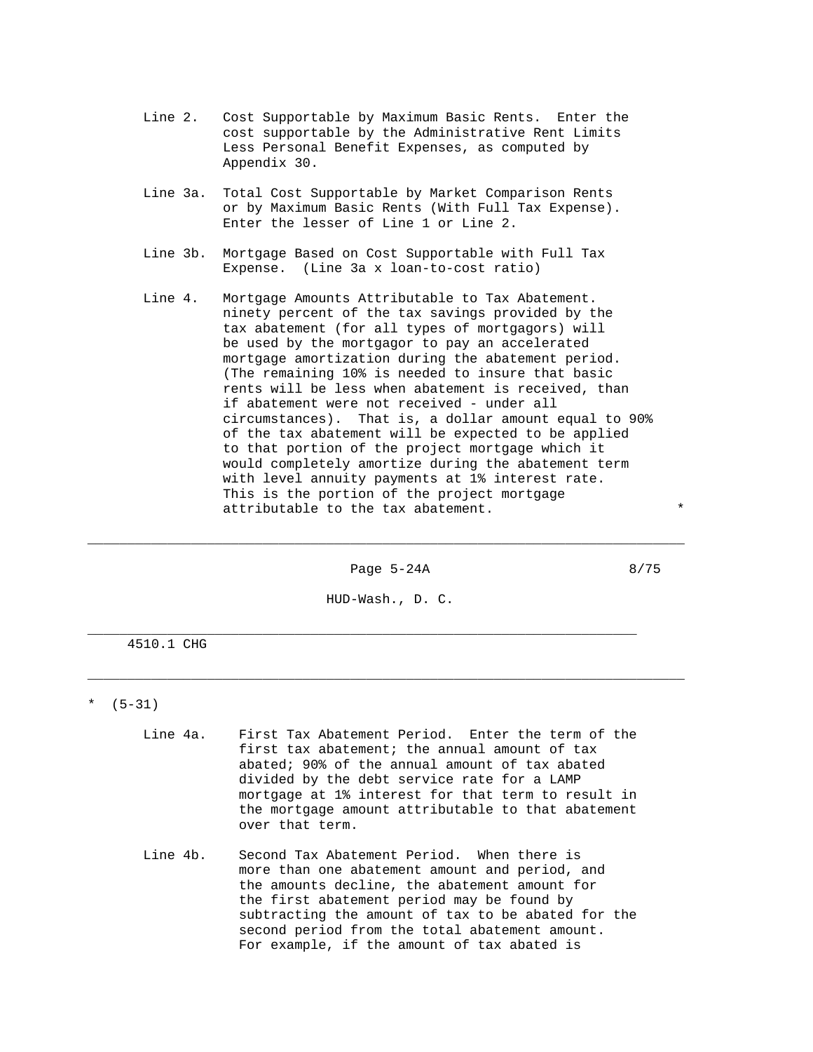- Line 2. Cost Supportable by Maximum Basic Rents. Enter the cost supportable by the Administrative Rent Limits Less Personal Benefit Expenses, as computed by Appendix 30.
- Line 3a. Total Cost Supportable by Market Comparison Rents or by Maximum Basic Rents (With Full Tax Expense). Enter the lesser of Line 1 or Line 2.
- Line 3b. Mortgage Based on Cost Supportable with Full Tax Expense. (Line 3a x loan-to-cost ratio)
- Line 4. Mortgage Amounts Attributable to Tax Abatement. ninety percent of the tax savings provided by the tax abatement (for all types of mortgagors) will be used by the mortgagor to pay an accelerated mortgage amortization during the abatement period. (The remaining 10% is needed to insure that basic rents will be less when abatement is received, than if abatement were not received - under all circumstances). That is, a dollar amount equal to 90% of the tax abatement will be expected to be applied to that portion of the project mortgage which it would completely amortize during the abatement term with level annuity payments at 1% interest rate. This is the portion of the project mortgage attributable to the tax abatement.

Page 5-24A 8/75

HUD-Wash., D. C.

\_\_\_\_\_\_\_\_\_\_\_\_\_\_\_\_\_\_\_\_\_\_\_\_\_\_\_\_\_\_\_\_\_\_\_\_\_\_\_\_\_\_\_\_\_\_\_\_\_\_\_\_\_\_\_\_\_\_\_\_\_\_\_\_\_\_\_\_\_\_\_\_\_\_\_

\_\_\_\_\_\_\_\_\_\_\_\_\_\_\_\_\_\_\_\_\_\_\_\_\_\_\_\_\_\_\_\_\_\_\_\_\_\_\_\_\_\_\_\_\_\_\_\_\_\_\_\_\_\_\_\_\_\_\_\_\_\_\_\_\_\_\_\_\_

\_\_\_\_\_\_\_\_\_\_\_\_\_\_\_\_\_\_\_\_\_\_\_\_\_\_\_\_\_\_\_\_\_\_\_\_\_\_\_\_\_\_\_\_\_\_\_\_\_\_\_\_\_\_\_\_\_\_\_\_\_\_\_\_\_\_\_\_\_\_\_\_\_\_\_

4510.1 CHG

#### \*  $(5-31)$

- Line 4a. First Tax Abatement Period. Enter the term of the first tax abatement; the annual amount of tax abated; 90% of the annual amount of tax abated divided by the debt service rate for a LAMP mortgage at 1% interest for that term to result in the mortgage amount attributable to that abatement over that term.
- Line 4b. Second Tax Abatement Period. When there is more than one abatement amount and period, and the amounts decline, the abatement amount for the first abatement period may be found by subtracting the amount of tax to be abated for the second period from the total abatement amount. For example, if the amount of tax abated is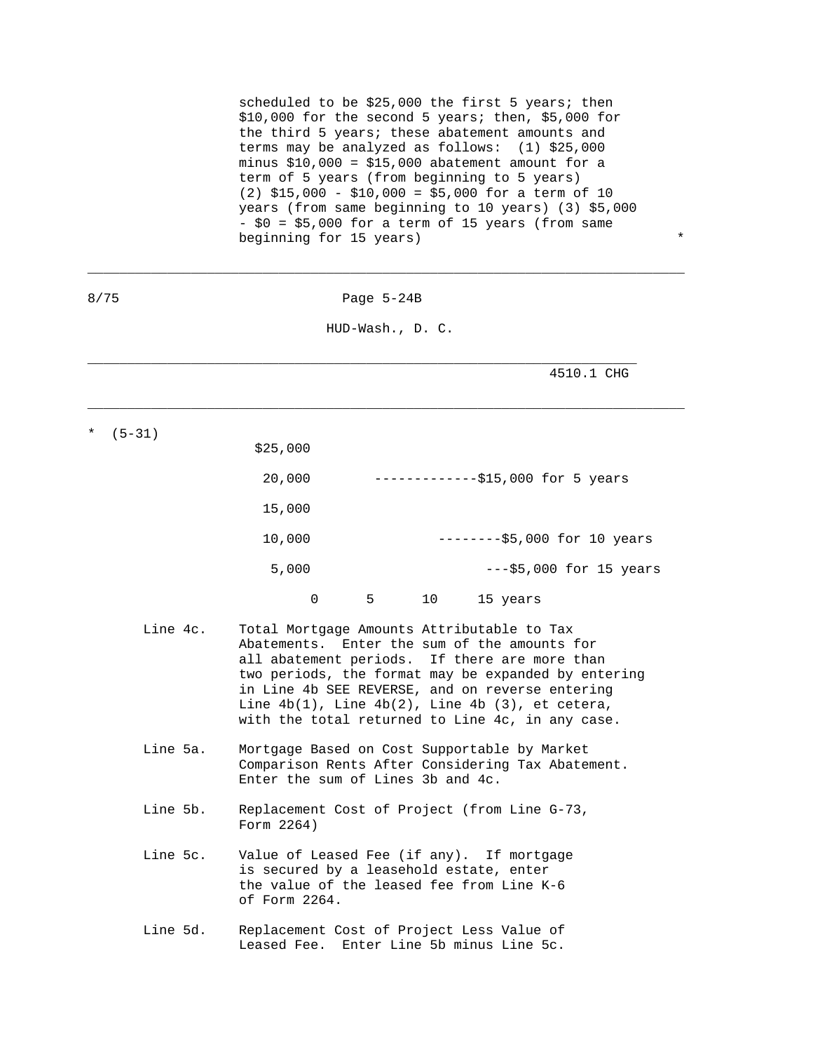scheduled to be \$25,000 the first 5 years; then \$10,000 for the second 5 years; then, \$5,000 for the third 5 years; these abatement amounts and terms may be analyzed as follows: (1) \$25,000 minus  $$10,000 = $15,000$  abatement amount for a term of 5 years (from beginning to 5 years) (2) \$15,000 - \$10,000 = \$5,000 for a term of 10 years (from same beginning to 10 years) (3) \$5,000 - \$0 = \$5,000 for a term of 15 years (from same beginning for 15 years)  $*$ 

| 8/75        | Page $5-24B$                                                                                                                                                                                                                                                                                                                                                         |  |  |
|-------------|----------------------------------------------------------------------------------------------------------------------------------------------------------------------------------------------------------------------------------------------------------------------------------------------------------------------------------------------------------------------|--|--|
|             | HUD-Wash., D. C.                                                                                                                                                                                                                                                                                                                                                     |  |  |
|             | 4510.1 CHG                                                                                                                                                                                                                                                                                                                                                           |  |  |
| $(5 - 31)$  | \$25,000                                                                                                                                                                                                                                                                                                                                                             |  |  |
|             | 20,000<br>-------------\$15,000 for 5 years                                                                                                                                                                                                                                                                                                                          |  |  |
|             | 15,000                                                                                                                                                                                                                                                                                                                                                               |  |  |
|             | 10,000<br>$-----$ \$5,000 for 10 years                                                                                                                                                                                                                                                                                                                               |  |  |
|             | 5,000<br>$---$5,000 for 15 years$                                                                                                                                                                                                                                                                                                                                    |  |  |
|             | 5<br>10<br>$\Omega$<br>15 years                                                                                                                                                                                                                                                                                                                                      |  |  |
| Line $4c$ . | Total Mortgage Amounts Attributable to Tax<br>Abatements. Enter the sum of the amounts for<br>all abatement periods. If there are more than<br>two periods, the format may be expanded by entering<br>in Line 4b SEE REVERSE, and on reverse entering<br>Line $4b(1)$ , Line $4b(2)$ , Line $4b(3)$ , et cetera,<br>with the total returned to Line 4c, in any case. |  |  |
| Line 5a.    | Mortgage Based on Cost Supportable by Market<br>Comparison Rents After Considering Tax Abatement.<br>Enter the sum of Lines 3b and 4c.                                                                                                                                                                                                                               |  |  |
| Line 5b.    | Replacement Cost of Project (from Line G-73,<br>Form 2264)                                                                                                                                                                                                                                                                                                           |  |  |
| Line 5c.    | Value of Leased Fee (if any). If mortgage<br>is secured by a leasehold estate, enter<br>the value of the leased fee from Line K-6<br>of Form 2264.                                                                                                                                                                                                                   |  |  |
| Line 5d.    | Replacement Cost of Project Less Value of<br>Leased Fee. Enter Line 5b minus Line 5c.                                                                                                                                                                                                                                                                                |  |  |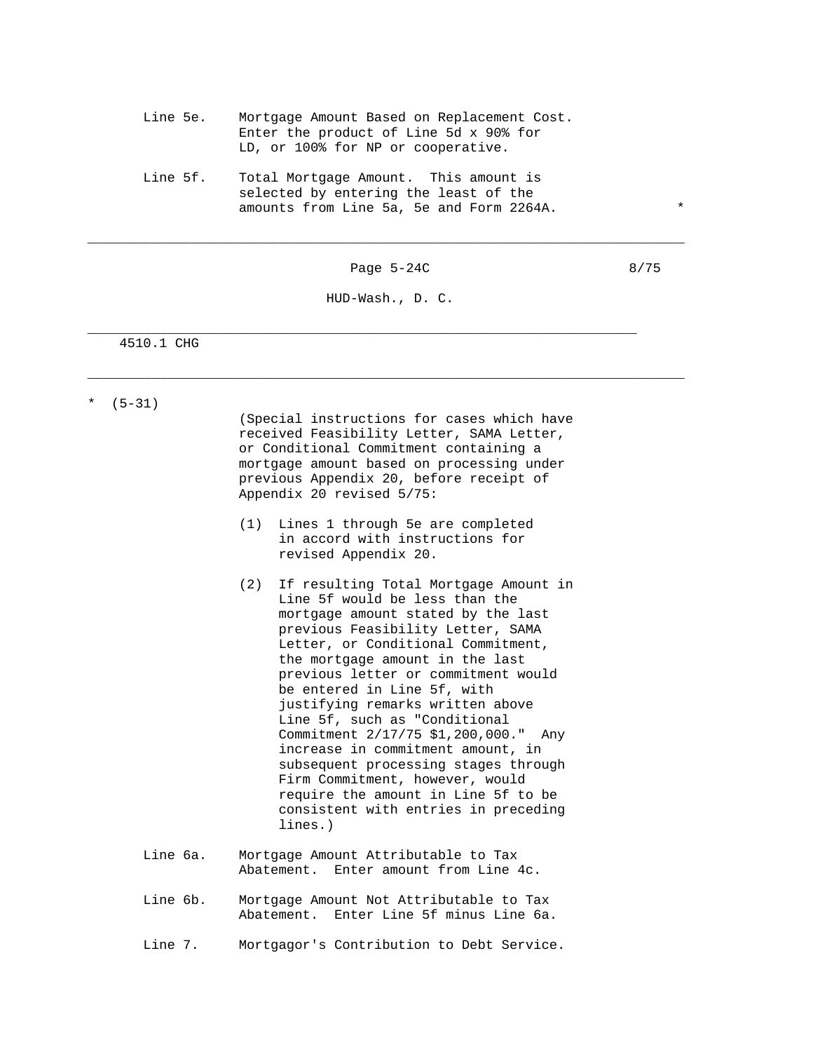- Line 5e. Mortgage Amount Based on Replacement Cost. Enter the product of Line 5d x 90% for LD, or 100% for NP or cooperative.
- Line 5f. Total Mortgage Amount. This amount is selected by entering the least of the amounts from Line 5a, 5e and Form 2264A.

Page 5-24C 8/75

\_\_\_\_\_\_\_\_\_\_\_\_\_\_\_\_\_\_\_\_\_\_\_\_\_\_\_\_\_\_\_\_\_\_\_\_\_\_\_\_\_\_\_\_\_\_\_\_\_\_\_\_\_\_\_\_\_\_\_\_\_\_\_\_\_\_\_\_\_\_\_\_\_\_\_

HUD-Wash., D. C.

\_\_\_\_\_\_\_\_\_\_\_\_\_\_\_\_\_\_\_\_\_\_\_\_\_\_\_\_\_\_\_\_\_\_\_\_\_\_\_\_\_\_\_\_\_\_\_\_\_\_\_\_\_\_\_\_\_\_\_\_\_\_\_\_\_\_\_\_\_\_\_\_\_\_\_

\_\_\_\_\_\_\_\_\_\_\_\_\_\_\_\_\_\_\_\_\_\_\_\_\_\_\_\_\_\_\_\_\_\_\_\_\_\_\_\_\_\_\_\_\_\_\_\_\_\_\_\_\_\_\_\_\_\_\_\_\_\_\_\_\_\_\_\_\_

4510.1 CHG

 $*$  (5-31)

 (Special instructions for cases which have received Feasibility Letter, SAMA Letter, or Conditional Commitment containing a mortgage amount based on processing under previous Appendix 20, before receipt of Appendix 20 revised 5/75:

- (1) Lines 1 through 5e are completed in accord with instructions for revised Appendix 20.
- (2) If resulting Total Mortgage Amount in Line 5f would be less than the mortgage amount stated by the last previous Feasibility Letter, SAMA Letter, or Conditional Commitment, the mortgage amount in the last previous letter or commitment would be entered in Line 5f, with justifying remarks written above Line 5f, such as "Conditional Commitment 2/17/75 \$1,200,000." Any increase in commitment amount, in subsequent processing stages through Firm Commitment, however, would require the amount in Line 5f to be consistent with entries in preceding lines.)
- Line 6a. Mortgage Amount Attributable to Tax Abatement. Enter amount from Line 4c.
- Line 6b. Mortgage Amount Not Attributable to Tax Abatement. Enter Line 5f minus Line 6a.

Line 7. Mortgagor's Contribution to Debt Service.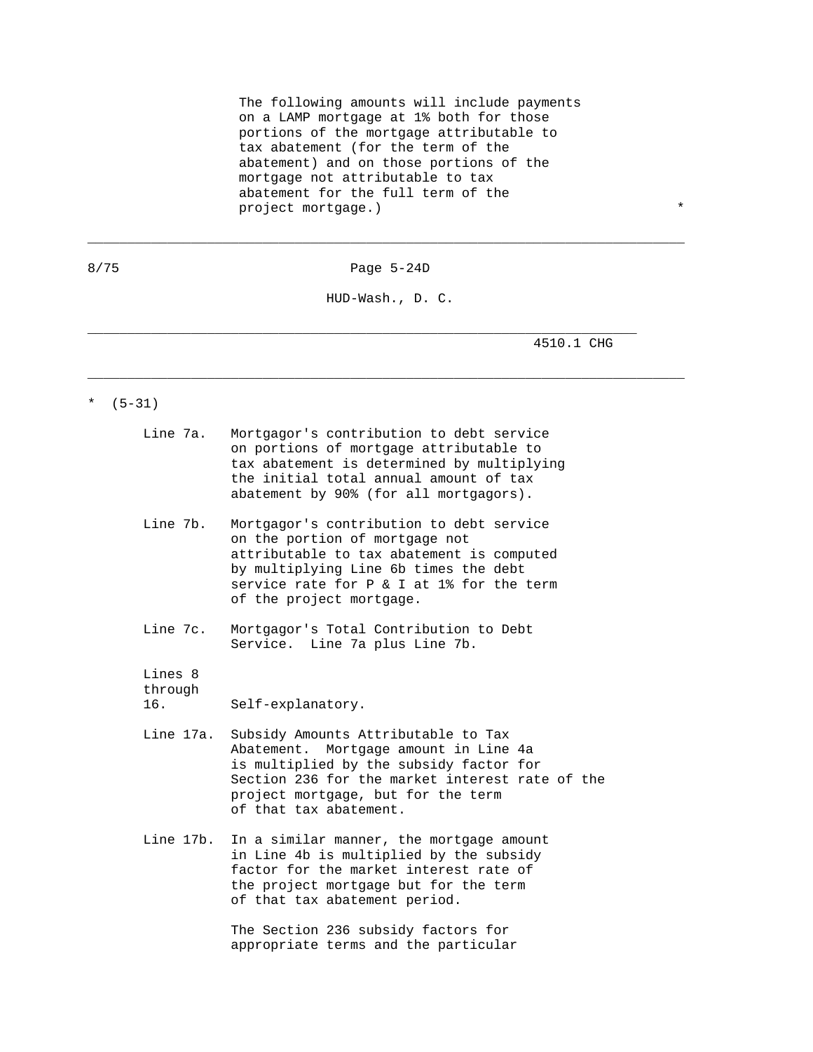The following amounts will include payments on a LAMP mortgage at 1% both for those portions of the mortgage attributable to tax abatement (for the term of the abatement) and on those portions of the mortgage not attributable to tax abatement for the full term of the project mortgage.) \*\*\*

8/75 Page 5-24D

\_\_\_\_\_\_\_\_\_\_\_\_\_\_\_\_\_\_\_\_\_\_\_\_\_\_\_\_\_\_\_\_\_\_\_\_\_\_\_\_\_\_\_\_\_\_\_\_\_\_\_\_\_\_\_\_\_\_\_\_\_\_\_\_\_\_\_\_\_\_\_\_\_\_\_

HUD-Wash., D. C.

\_\_\_\_\_\_\_\_\_\_\_\_\_\_\_\_\_\_\_\_\_\_\_\_\_\_\_\_\_\_\_\_\_\_\_\_\_\_\_\_\_\_\_\_\_\_\_\_\_\_\_\_\_\_\_\_\_\_\_\_\_\_\_\_\_\_\_\_\_\_\_\_\_\_\_

\_\_\_\_\_\_\_\_\_\_\_\_\_\_\_\_\_\_\_\_\_\_\_\_\_\_\_\_\_\_\_\_\_\_\_\_\_\_\_\_\_\_\_\_\_\_\_\_\_\_\_\_\_\_\_\_\_\_\_\_\_\_\_\_\_\_\_\_\_

4510.1 CHG

\*  $(5-31)$ 

| Line 7a.                  | Mortgagor's contribution to debt service<br>on portions of mortgage attributable to<br>tax abatement is determined by multiplying<br>the initial total annual amount of tax<br>abatement by 90% (for all mortgagors).                      |
|---------------------------|--------------------------------------------------------------------------------------------------------------------------------------------------------------------------------------------------------------------------------------------|
| Line 7b.                  | Mortgagor's contribution to debt service<br>on the portion of mortgage not<br>attributable to tax abatement is computed<br>by multiplying Line 6b times the debt<br>service rate for P & I at 1% for the term<br>of the project mortgage.  |
| Line 7c.                  | Mortgagor's Total Contribution to Debt<br>Service. Line 7a plus Line 7b.                                                                                                                                                                   |
| Lines 8<br>through<br>16. | Self-explanatory.                                                                                                                                                                                                                          |
| Line 17a.                 | Subsidy Amounts Attributable to Tax<br>Abatement. Mortgage amount in Line 4a<br>is multiplied by the subsidy factor for<br>Section 236 for the market interest rate of the<br>project mortgage, but for the term<br>of that tax abatement. |
| Line 17b.                 | In a similar manner, the mortgage amount<br>in Line 4b is multiplied by the subsidy<br>factor for the market interest rate of<br>the project mortgage but for the term<br>of that tax abatement period.                                    |
|                           | The Section 236 subsidy factors for                                                                                                                                                                                                        |

appropriate terms and the particular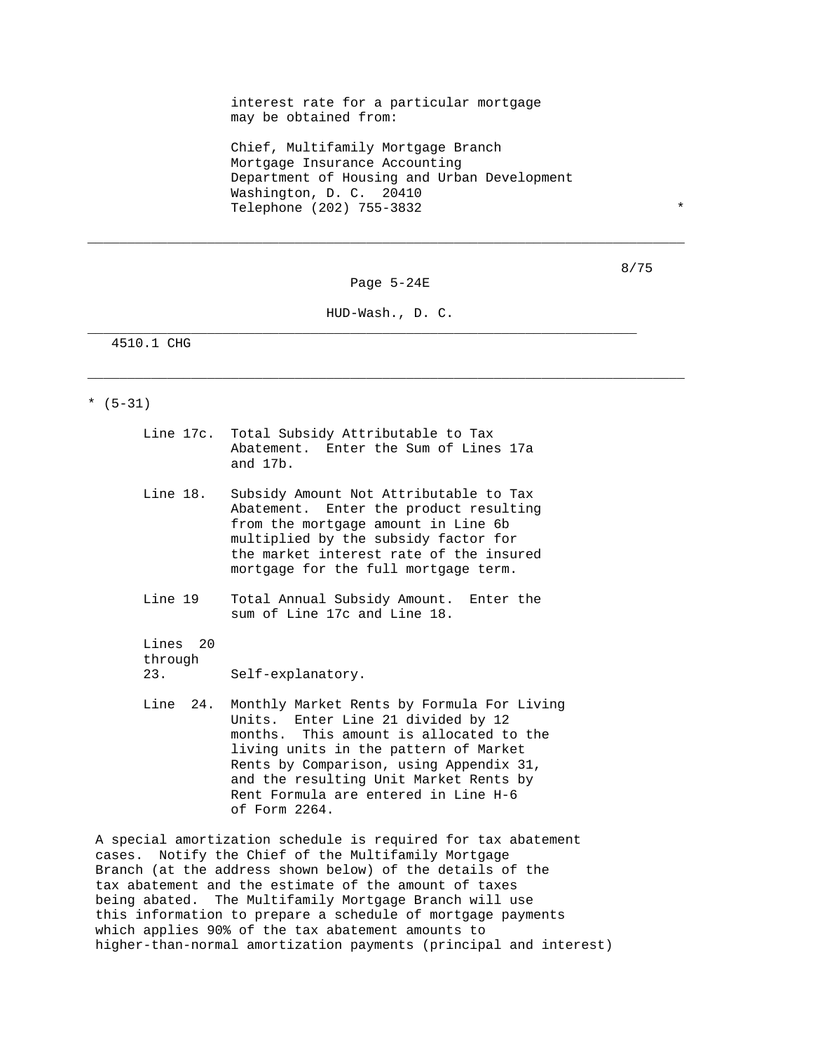interest rate for a particular mortgage may be obtained from:

 Chief, Multifamily Mortgage Branch Mortgage Insurance Accounting Department of Housing and Urban Development Washington, D. C. 20410 Telephone (202) 755-3832 \*

Page 5-24E

\_\_\_\_\_\_\_\_\_\_\_\_\_\_\_\_\_\_\_\_\_\_\_\_\_\_\_\_\_\_\_\_\_\_\_\_\_\_\_\_\_\_\_\_\_\_\_\_\_\_\_\_\_\_\_\_\_\_\_\_\_\_\_\_\_\_\_\_\_\_\_\_\_\_\_

HUD-Wash., D. C.

\_\_\_\_\_\_\_\_\_\_\_\_\_\_\_\_\_\_\_\_\_\_\_\_\_\_\_\_\_\_\_\_\_\_\_\_\_\_\_\_\_\_\_\_\_\_\_\_\_\_\_\_\_\_\_\_\_\_\_\_\_\_\_\_\_\_\_\_\_\_\_\_\_\_\_

\_\_\_\_\_\_\_\_\_\_\_\_\_\_\_\_\_\_\_\_\_\_\_\_\_\_\_\_\_\_\_\_\_\_\_\_\_\_\_\_\_\_\_\_\_\_\_\_\_\_\_\_\_\_\_\_\_\_\_\_\_\_\_\_\_\_\_\_\_

4510.1 CHG

 $*(5-31)$ 

- Line 17c. Total Subsidy Attributable to Tax Abatement. Enter the Sum of Lines 17a and 17b.
- Line 18. Subsidy Amount Not Attributable to Tax Abatement. Enter the product resulting from the mortgage amount in Line 6b multiplied by the subsidy factor for the market interest rate of the insured mortgage for the full mortgage term.
- Line 19 Total Annual Subsidy Amount. Enter the sum of Line 17c and Line 18.

 Lines 20 through 23. Self-explanatory.

 Line 24. Monthly Market Rents by Formula For Living Units. Enter Line 21 divided by 12 months. This amount is allocated to the living units in the pattern of Market Rents by Comparison, using Appendix 31, and the resulting Unit Market Rents by Rent Formula are entered in Line H-6 of Form 2264.

 A special amortization schedule is required for tax abatement cases. Notify the Chief of the Multifamily Mortgage Branch (at the address shown below) of the details of the tax abatement and the estimate of the amount of taxes being abated. The Multifamily Mortgage Branch will use this information to prepare a schedule of mortgage payments which applies 90% of the tax abatement amounts to higher-than-normal amortization payments (principal and interest)

8/75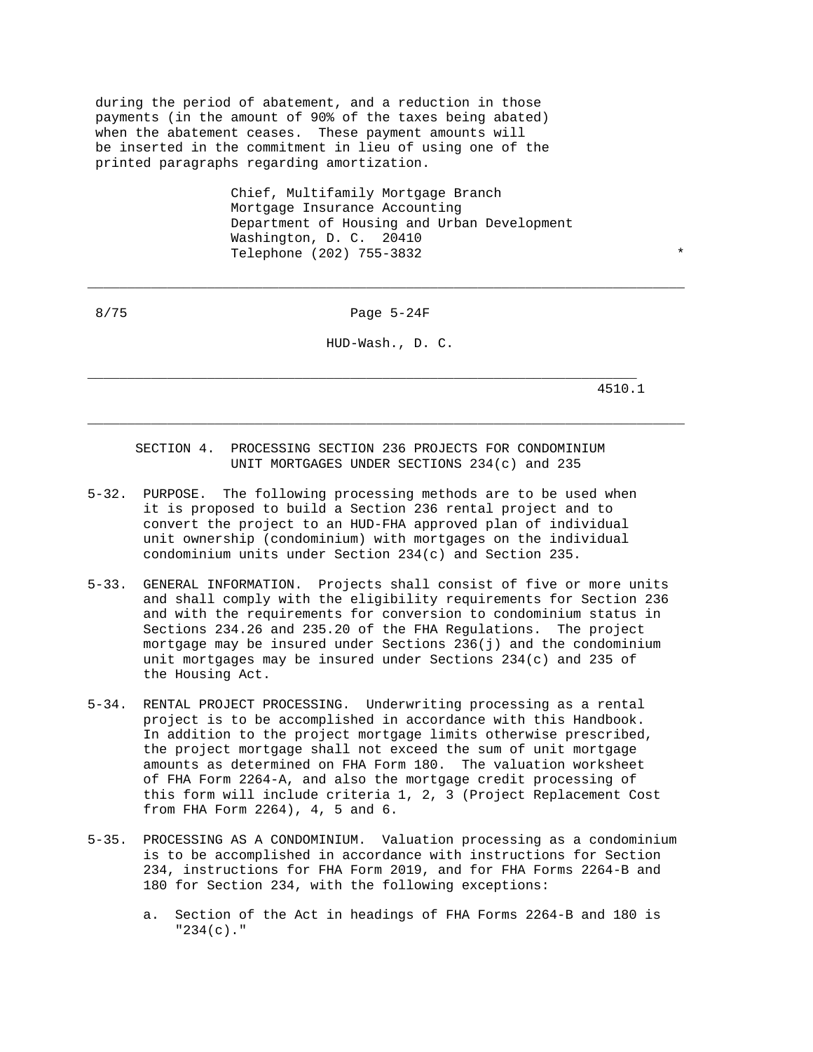during the period of abatement, and a reduction in those payments (in the amount of 90% of the taxes being abated) when the abatement ceases. These payment amounts will be inserted in the commitment in lieu of using one of the printed paragraphs regarding amortization.

> Chief, Multifamily Mortgage Branch Mortgage Insurance Accounting Department of Housing and Urban Development Washington, D. C. 20410 Telephone (202) 755-3832 \*

8/75 Page 5-24F

\_\_\_\_\_\_\_\_\_\_\_\_\_\_\_\_\_\_\_\_\_\_\_\_\_\_\_\_\_\_\_\_\_\_\_\_\_\_\_\_\_\_\_\_\_\_\_\_\_\_\_\_\_\_\_\_\_\_\_\_\_\_\_\_\_\_\_\_\_\_\_\_\_\_\_

HUD-Wash., D. C.

\_\_\_\_\_\_\_\_\_\_\_\_\_\_\_\_\_\_\_\_\_\_\_\_\_\_\_\_\_\_\_\_\_\_\_\_\_\_\_\_\_\_\_\_\_\_\_\_\_\_\_\_\_\_\_\_\_\_\_\_\_\_\_\_\_\_\_\_\_\_\_\_\_\_\_

4510.1

 SECTION 4. PROCESSING SECTION 236 PROJECTS FOR CONDOMINIUM UNIT MORTGAGES UNDER SECTIONS 234(c) and 235

- 5-32. PURPOSE. The following processing methods are to be used when it is proposed to build a Section 236 rental project and to convert the project to an HUD-FHA approved plan of individual unit ownership (condominium) with mortgages on the individual condominium units under Section 234(c) and Section 235.
- 5-33. GENERAL INFORMATION. Projects shall consist of five or more units and shall comply with the eligibility requirements for Section 236 and with the requirements for conversion to condominium status in Sections 234.26 and 235.20 of the FHA Regulations. The project mortgage may be insured under Sections 236(j) and the condominium unit mortgages may be insured under Sections 234(c) and 235 of the Housing Act.
- 5-34. RENTAL PROJECT PROCESSING. Underwriting processing as a rental project is to be accomplished in accordance with this Handbook. In addition to the project mortgage limits otherwise prescribed, the project mortgage shall not exceed the sum of unit mortgage amounts as determined on FHA Form 180. The valuation worksheet of FHA Form 2264-A, and also the mortgage credit processing of this form will include criteria 1, 2, 3 (Project Replacement Cost from FHA Form 2264), 4, 5 and 6.
- 5-35. PROCESSING AS A CONDOMINIUM. Valuation processing as a condominium is to be accomplished in accordance with instructions for Section 234, instructions for FHA Form 2019, and for FHA Forms 2264-B and 180 for Section 234, with the following exceptions:
	- a. Section of the Act in headings of FHA Forms 2264-B and 180 is "234(c)."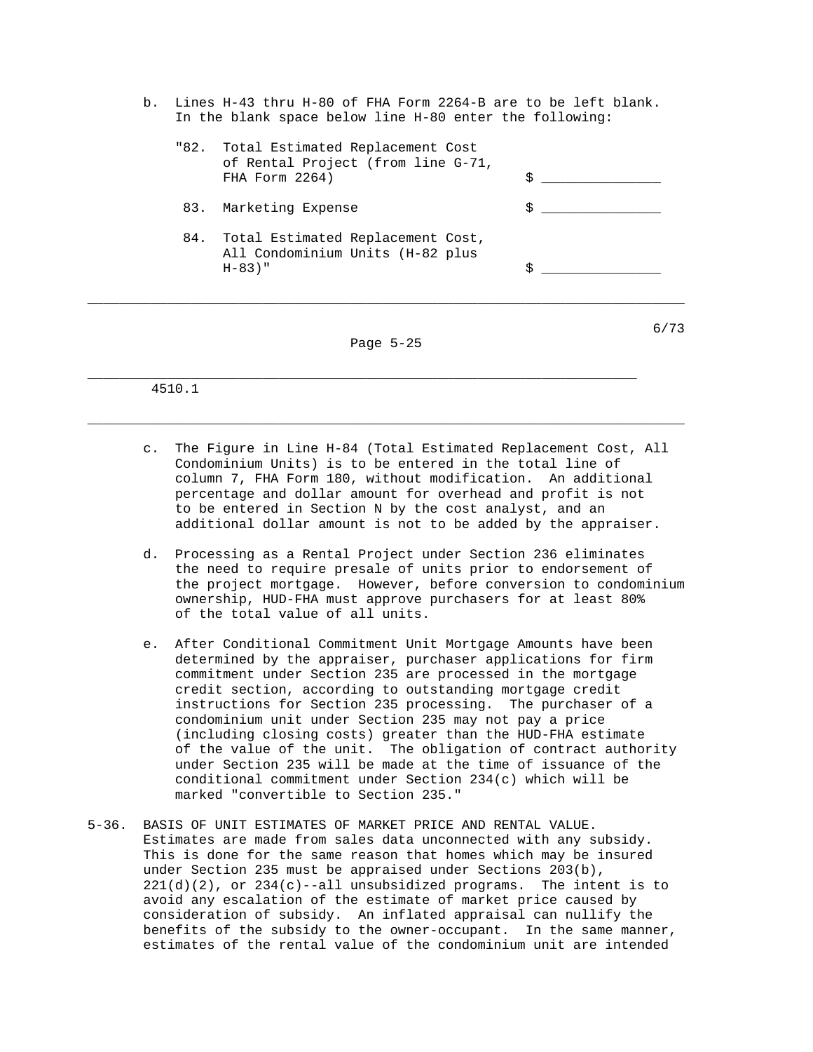b. Lines H-43 thru H-80 of FHA Form 2264-B are to be left blank. In the blank space below line H-80 enter the following:

|     | "82. Total Estimated Replacement Cost<br>of Rental Project (from line G-71,<br>FHA Form 2264) | \$ |
|-----|-----------------------------------------------------------------------------------------------|----|
| 83. | Marketing Expense                                                                             | \$ |
| 84. | Total Estimated Replacement Cost,<br>All Condominium Units (H-82 plus<br>$H - 83$ )"          | \$ |
|     |                                                                                               | 67 |

Page 5-25

\_\_\_\_\_\_\_\_\_\_\_\_\_\_\_\_\_\_\_\_\_\_\_\_\_\_\_\_\_\_\_\_\_\_\_\_\_\_\_\_\_\_\_\_\_\_\_\_\_\_\_\_\_\_\_\_\_\_\_\_\_\_\_\_\_\_\_\_\_\_\_\_\_\_\_

\_\_\_\_\_\_\_\_\_\_\_\_\_\_\_\_\_\_\_\_\_\_\_\_\_\_\_\_\_\_\_\_\_\_\_\_\_\_\_\_\_\_\_\_\_\_\_\_\_\_\_\_\_\_\_\_\_\_\_\_\_\_\_\_\_\_\_\_\_

4510.1

- c. The Figure in Line H-84 (Total Estimated Replacement Cost, All Condominium Units) is to be entered in the total line of column 7, FHA Form 180, without modification. An additional percentage and dollar amount for overhead and profit is not to be entered in Section N by the cost analyst, and an additional dollar amount is not to be added by the appraiser.
- d. Processing as a Rental Project under Section 236 eliminates the need to require presale of units prior to endorsement of the project mortgage. However, before conversion to condominium ownership, HUD-FHA must approve purchasers for at least 80% of the total value of all units.
- e. After Conditional Commitment Unit Mortgage Amounts have been determined by the appraiser, purchaser applications for firm commitment under Section 235 are processed in the mortgage credit section, according to outstanding mortgage credit instructions for Section 235 processing. The purchaser of a condominium unit under Section 235 may not pay a price (including closing costs) greater than the HUD-FHA estimate of the value of the unit. The obligation of contract authority under Section 235 will be made at the time of issuance of the conditional commitment under Section 234(c) which will be marked "convertible to Section 235."
- 5-36. BASIS OF UNIT ESTIMATES OF MARKET PRICE AND RENTAL VALUE. Estimates are made from sales data unconnected with any subsidy. This is done for the same reason that homes which may be insured under Section 235 must be appraised under Sections 203(b),  $221(d)(2)$ , or  $234(c)$ --all unsubsidized programs. The intent is to avoid any escalation of the estimate of market price caused by consideration of subsidy. An inflated appraisal can nullify the benefits of the subsidy to the owner-occupant. In the same manner, estimates of the rental value of the condominium unit are intended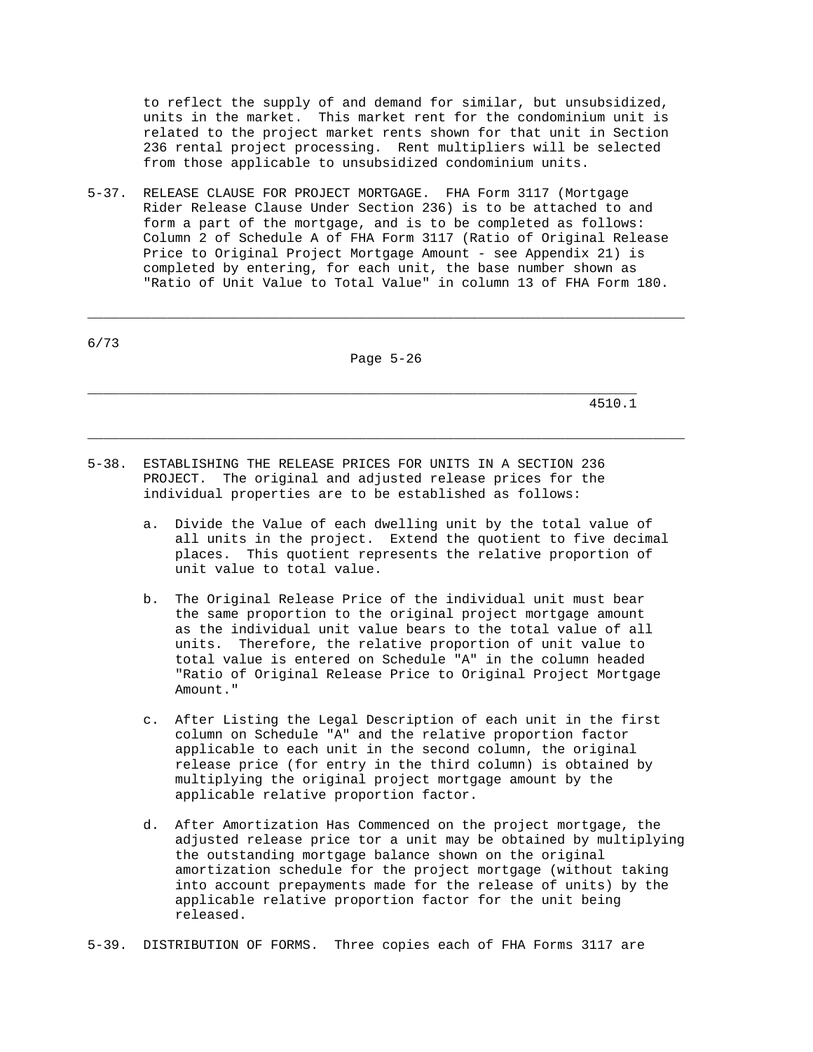to reflect the supply of and demand for similar, but unsubsidized, units in the market. This market rent for the condominium unit is related to the project market rents shown for that unit in Section 236 rental project processing. Rent multipliers will be selected from those applicable to unsubsidized condominium units.

5-37. RELEASE CLAUSE FOR PROJECT MORTGAGE. FHA Form 3117 (Mortgage Rider Release Clause Under Section 236) is to be attached to and form a part of the mortgage, and is to be completed as follows: Column 2 of Schedule A of FHA Form 3117 (Ratio of Original Release Price to Original Project Mortgage Amount - see Appendix 21) is completed by entering, for each unit, the base number shown as "Ratio of Unit Value to Total Value" in column 13 of FHA Form 180.

| $6/73$ |           |
|--------|-----------|
|        | Page 5-26 |

\_\_\_\_\_\_\_\_\_\_\_\_\_\_\_\_\_\_\_\_\_\_\_\_\_\_\_\_\_\_\_\_\_\_\_\_\_\_\_\_\_\_\_\_\_\_\_\_\_\_\_\_\_\_\_\_\_\_\_\_\_\_\_\_\_\_\_\_\_

\_\_\_\_\_\_\_\_\_\_\_\_\_\_\_\_\_\_\_\_\_\_\_\_\_\_\_\_\_\_\_\_\_\_\_\_\_\_\_\_\_\_\_\_\_\_\_\_\_\_\_\_\_\_\_\_\_\_\_\_\_\_\_\_\_\_\_\_\_\_\_\_\_\_\_

\_\_\_\_\_\_\_\_\_\_\_\_\_\_\_\_\_\_\_\_\_\_\_\_\_\_\_\_\_\_\_\_\_\_\_\_\_\_\_\_\_\_\_\_\_\_\_\_\_\_\_\_\_\_\_\_\_\_\_\_\_\_\_\_\_\_\_\_\_\_\_\_\_\_\_

4510.1

- 5-38. ESTABLISHING THE RELEASE PRICES FOR UNITS IN A SECTION 236 PROJECT. The original and adjusted release prices for the individual properties are to be established as follows:
	- a. Divide the Value of each dwelling unit by the total value of all units in the project. Extend the quotient to five decimal places. This quotient represents the relative proportion of unit value to total value.
	- b. The Original Release Price of the individual unit must bear the same proportion to the original project mortgage amount as the individual unit value bears to the total value of all units. Therefore, the relative proportion of unit value to total value is entered on Schedule "A" in the column headed "Ratio of Original Release Price to Original Project Mortgage Amount."
	- c. After Listing the Legal Description of each unit in the first column on Schedule "A" and the relative proportion factor applicable to each unit in the second column, the original release price (for entry in the third column) is obtained by multiplying the original project mortgage amount by the applicable relative proportion factor.
	- d. After Amortization Has Commenced on the project mortgage, the adjusted release price tor a unit may be obtained by multiplying the outstanding mortgage balance shown on the original amortization schedule for the project mortgage (without taking into account prepayments made for the release of units) by the applicable relative proportion factor for the unit being released.

5-39. DISTRIBUTION OF FORMS. Three copies each of FHA Forms 3117 are